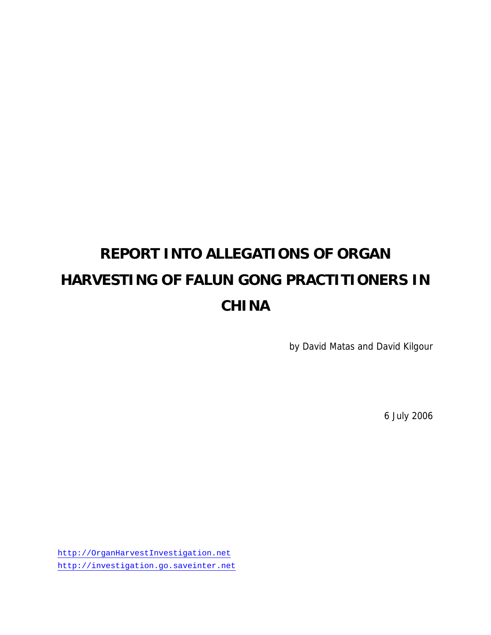# **REPORT INTO ALLEGATIONS OF ORGAN HARVESTING OF FALUN GONG PRACTITIONERS IN CHINA**

by David Matas and David Kilgour

6 July 2006

http://OrganHarvestInvestigation.net http://investigation.go.saveinter.net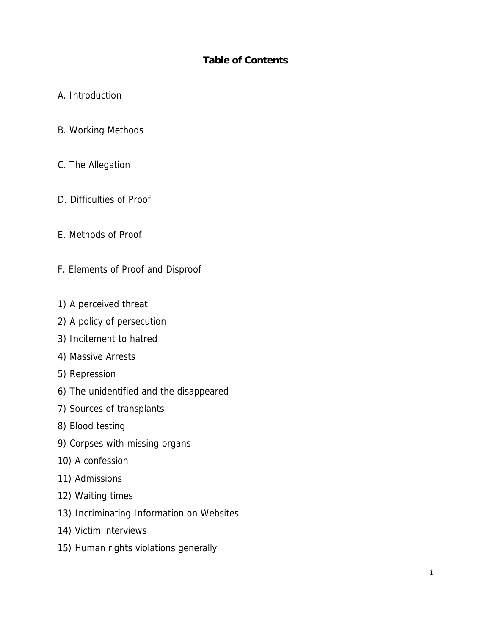## **Table of Contents**

## A. Introduction

- B. Working Methods
- C. The Allegation
- D. Difficulties of Proof
- E. Methods of Proof
- F. Elements of Proof and Disproof
- 1) A perceived threat
- 2) A policy of persecution
- 3) Incitement to hatred
- 4) Massive Arrests
- 5) Repression
- 6) The unidentified and the disappeared
- 7) Sources of transplants
- 8) Blood testing
- 9) Corpses with missing organs
- 10) A confession
- 11) Admissions
- 12) Waiting times
- 13) Incriminating Information on Websites
- 14) Victim interviews
- 15) Human rights violations generally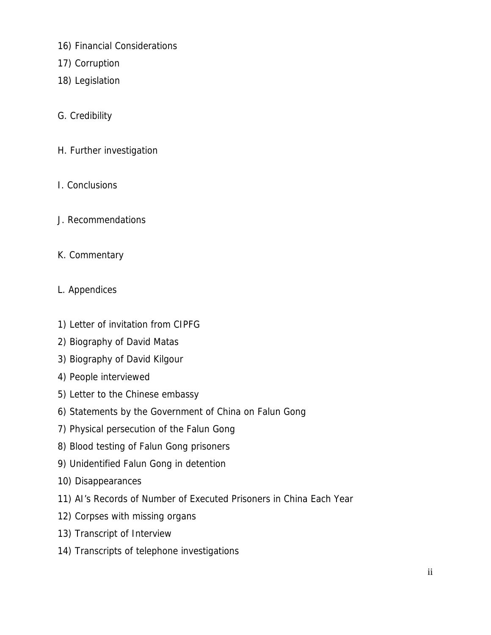- 16) Financial Considerations
- 17) Corruption
- 18) Legislation
- G. Credibility
- H. Further investigation
- I. Conclusions
- J. Recommendations
- K. Commentary
- L. Appendices
- 1) Letter of invitation from CIPFG
- 2) Biography of David Matas
- 3) Biography of David Kilgour
- 4) People interviewed
- 5) Letter to the Chinese embassy
- 6) Statements by the Government of China on Falun Gong
- 7) Physical persecution of the Falun Gong
- 8) Blood testing of Falun Gong prisoners
- 9) Unidentified Falun Gong in detention
- 10) Disappearances
- 11) AI's Records of Number of Executed Prisoners in China Each Year
- 12) Corpses with missing organs
- 13) Transcript of Interview
- 14) Transcripts of telephone investigations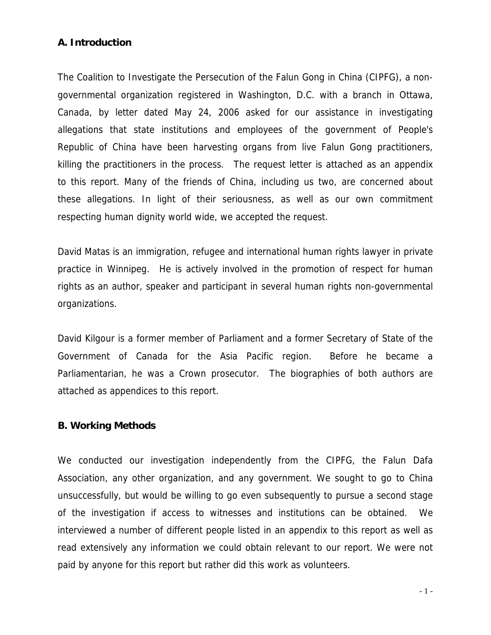## **A. Introduction**

The Coalition to Investigate the Persecution of the Falun Gong in China (CIPFG), a nongovernmental organization registered in Washington, D.C. with a branch in Ottawa, Canada, by letter dated May 24, 2006 asked for our assistance in investigating allegations that state institutions and employees of the government of People's Republic of China have been harvesting organs from live Falun Gong practitioners, killing the practitioners in the process. The request letter is attached as an appendix to this report. Many of the friends of China, including us two, are concerned about these allegations. In light of their seriousness, as well as our own commitment respecting human dignity world wide, we accepted the request.

David Matas is an immigration, refugee and international human rights lawyer in private practice in Winnipeg. He is actively involved in the promotion of respect for human rights as an author, speaker and participant in several human rights non-governmental organizations.

David Kilgour is a former member of Parliament and a former Secretary of State of the Government of Canada for the Asia Pacific region. Before he became a Parliamentarian, he was a Crown prosecutor. The biographies of both authors are attached as appendices to this report.

### **B. Working Methods**

We conducted our investigation independently from the CIPFG, the Falun Dafa Association, any other organization, and any government. We sought to go to China unsuccessfully, but would be willing to go even subsequently to pursue a second stage of the investigation if access to witnesses and institutions can be obtained. We interviewed a number of different people listed in an appendix to this report as well as read extensively any information we could obtain relevant to our report. We were not paid by anyone for this report but rather did this work as volunteers.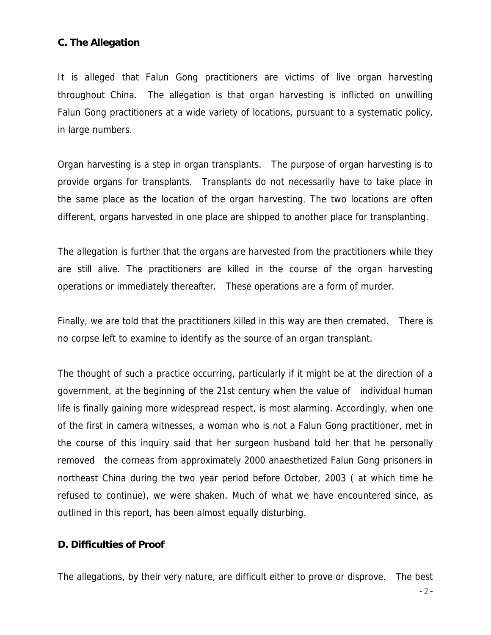## **C. The Allegation**

It is alleged that Falun Gong practitioners are victims of live organ harvesting throughout China. The allegation is that organ harvesting is inflicted on unwilling Falun Gong practitioners at a wide variety of locations, pursuant to a systematic policy, in large numbers.

Organ harvesting is a step in organ transplants. The purpose of organ harvesting is to provide organs for transplants. Transplants do not necessarily have to take place in the same place as the location of the organ harvesting. The two locations are often different, organs harvested in one place are shipped to another place for transplanting.

The allegation is further that the organs are harvested from the practitioners while they are still alive. The practitioners are killed in the course of the organ harvesting operations or immediately thereafter. These operations are a form of murder.

Finally, we are told that the practitioners killed in this way are then cremated. There is no corpse left to examine to identify as the source of an organ transplant.

The thought of such a practice occurring, particularly if it might be at the direction of a government, at the beginning of the 21st century when the value of individual human life is finally gaining more widespread respect, is most alarming. Accordingly, when one of the first in camera witnesses, a woman who is not a Falun Gong practitioner, met in the course of this inquiry said that her surgeon husband told her that he personally removed the corneas from approximately 2000 anaesthetized Falun Gong prisoners in northeast China during the two year period before October, 2003 ( at which time he refused to continue), we were shaken. Much of what we have encountered since, as outlined in this report, has been almost equally disturbing.

#### **D. Difficulties of Proof**

The allegations, by their very nature, are difficult either to prove or disprove. The best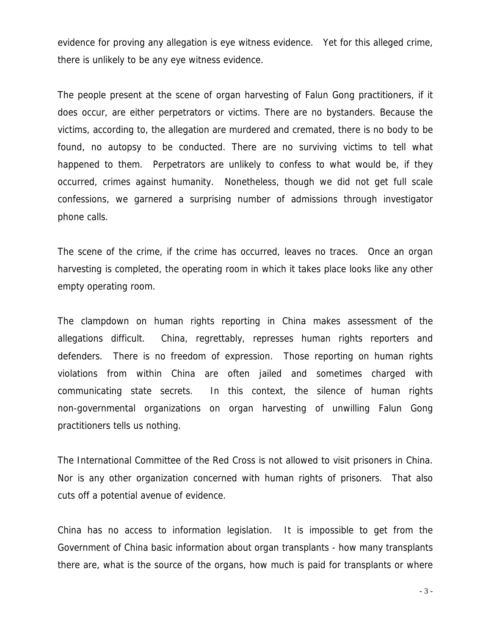evidence for proving any allegation is eye witness evidence. Yet for this alleged crime, there is unlikely to be any eye witness evidence.

The people present at the scene of organ harvesting of Falun Gong practitioners, if it does occur, are either perpetrators or victims. There are no bystanders. Because the victims, according to, the allegation are murdered and cremated, there is no body to be found, no autopsy to be conducted. There are no surviving victims to tell what happened to them. Perpetrators are unlikely to confess to what would be, if they occurred, crimes against humanity. Nonetheless, though we did not get full scale confessions, we garnered a surprising number of admissions through investigator phone calls.

The scene of the crime, if the crime has occurred, leaves no traces. Once an organ harvesting is completed, the operating room in which it takes place looks like any other empty operating room.

The clampdown on human rights reporting in China makes assessment of the allegations difficult. China, regrettably, represses human rights reporters and defenders. There is no freedom of expression. Those reporting on human rights violations from within China are often jailed and sometimes charged with communicating state secrets. In this context, the silence of human rights non-governmental organizations on organ harvesting of unwilling Falun Gong practitioners tells us nothing.

The International Committee of the Red Cross is not allowed to visit prisoners in China. Nor is any other organization concerned with human rights of prisoners. That also cuts off a potential avenue of evidence.

China has no access to information legislation. It is impossible to get from the Government of China basic information about organ transplants - how many transplants there are, what is the source of the organs, how much is paid for transplants or where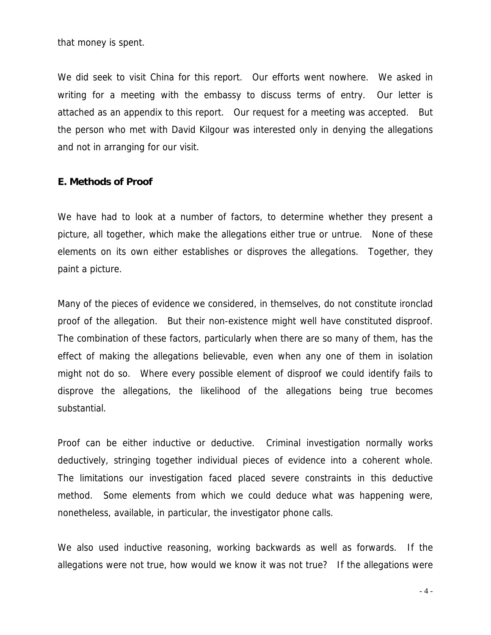that money is spent.

We did seek to visit China for this report. Our efforts went nowhere. We asked in writing for a meeting with the embassy to discuss terms of entry. Our letter is attached as an appendix to this report. Our request for a meeting was accepted. But the person who met with David Kilgour was interested only in denying the allegations and not in arranging for our visit.

#### **E. Methods of Proof**

We have had to look at a number of factors, to determine whether they present a picture, all together, which make the allegations either true or untrue. None of these elements on its own either establishes or disproves the allegations. Together, they paint a picture.

Many of the pieces of evidence we considered, in themselves, do not constitute ironclad proof of the allegation. But their non-existence might well have constituted disproof. The combination of these factors, particularly when there are so many of them, has the effect of making the allegations believable, even when any one of them in isolation might not do so. Where every possible element of disproof we could identify fails to disprove the allegations, the likelihood of the allegations being true becomes substantial.

Proof can be either inductive or deductive. Criminal investigation normally works deductively, stringing together individual pieces of evidence into a coherent whole. The limitations our investigation faced placed severe constraints in this deductive method. Some elements from which we could deduce what was happening were, nonetheless, available, in particular, the investigator phone calls.

We also used inductive reasoning, working backwards as well as forwards. If the allegations were not true, how would we know it was not true? If the allegations were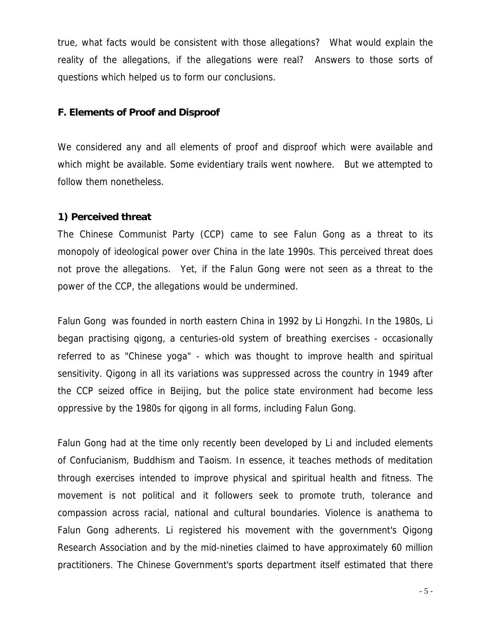true, what facts would be consistent with those allegations? What would explain the reality of the allegations, if the allegations were real? Answers to those sorts of questions which helped us to form our conclusions.

#### **F. Elements of Proof and Disproof**

We considered any and all elements of proof and disproof which were available and which might be available. Some evidentiary trails went nowhere. But we attempted to follow them nonetheless.

#### **1) Perceived threat**

The Chinese Communist Party (CCP) came to see Falun Gong as a threat to its monopoly of ideological power over China in the late 1990s. This perceived threat does not prove the allegations. Yet, if the Falun Gong were not seen as a threat to the power of the CCP, the allegations would be undermined.

Falun Gong was founded in north eastern China in 1992 by Li Hongzhi. In the 1980s, Li began practising qigong, a centuries-old system of breathing exercises - occasionally referred to as "Chinese yoga" - which was thought to improve health and spiritual sensitivity. Qigong in all its variations was suppressed across the country in 1949 after the CCP seized office in Beijing, but the police state environment had become less oppressive by the 1980s for qigong in all forms, including Falun Gong.

Falun Gong had at the time only recently been developed by Li and included elements of Confucianism, Buddhism and Taoism. In essence, it teaches methods of meditation through exercises intended to improve physical and spiritual health and fitness. The movement is not political and it followers seek to promote truth, tolerance and compassion across racial, national and cultural boundaries. Violence is anathema to Falun Gong adherents. Li registered his movement with the government's Qigong Research Association and by the mid-nineties claimed to have approximately 60 million practitioners. The Chinese Government's sports department itself estimated that there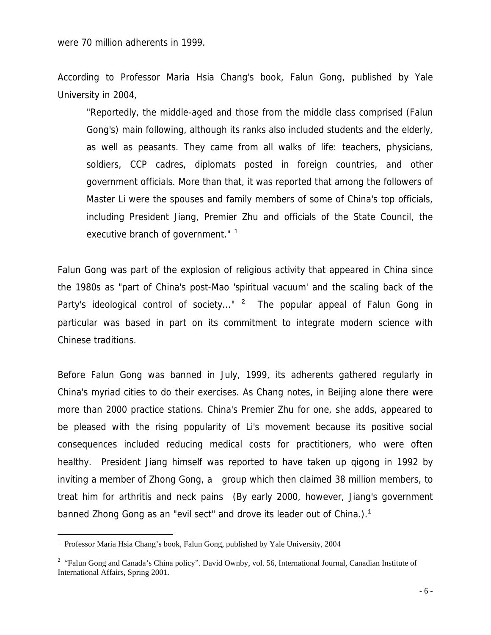According to Professor Maria Hsia Chang's book, Falun Gong, published by Yale University in 2004,

 "Reportedly, the middle-aged and those from the middle class comprised (Falun Gong's) main following, although its ranks also included students and the elderly, as well as peasants. They came from all walks of life: teachers, physicians, soldiers, CCP cadres, diplomats posted in foreign countries, and other government officials. More than that, it was reported that among the followers of Master Li were the spouses and family members of some of China's top officials, including President Jiang, Premier Zhu and officials of the State Council, the executive branch of government."  $1$ 

Falun Gong was part of the explosion of religious activity that appeared in China since the 1980s as "part of China's post-Mao 'spiritual vacuum' and the scaling back of the Party's ideological control of society..." <sup>2</sup> The popular appeal of Falun Gong in particular was based in part on its commitment to integrate modern science with Chinese traditions.

Before Falun Gong was banned in July, 1999, its adherents gathered regularly in China's myriad cities to do their exercises. As Chang notes, in Beijing alone there were more than 2000 practice stations. China's Premier Zhu for one, she adds, appeared to be pleased with the rising popularity of Li's movement because its positive social consequences included reducing medical costs for practitioners, who were often healthy. President Jiang himself was reported to have taken up qigong in 1992 by inviting a member of Zhong Gong, a group which then claimed 38 million members, to treat him for arthritis and neck pains (By early 2000, however, Jiang's government banned Zhong Gong as an "evil sect" and drove its leader out of China.). $<sup>1</sup>$ </sup>

<sup>&</sup>lt;sup>1</sup> Professor Maria Hsia Chang's book, Falun Gong, published by Yale University, 2004

<sup>&</sup>lt;sup>2</sup> "Falun Gong and Canada's China policy". David Ownby, vol. 56, International Journal, Canadian Institute of International Affairs, Spring 2001.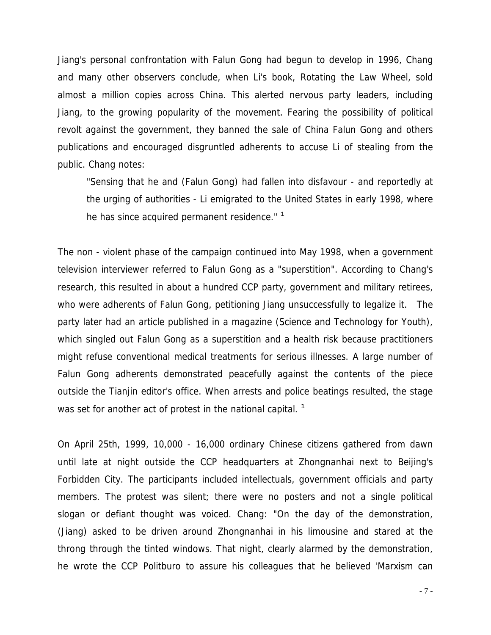Jiang's personal confrontation with Falun Gong had begun to develop in 1996, Chang and many other observers conclude, when Li's book, Rotating the Law Wheel, sold almost a million copies across China. This alerted nervous party leaders, including Jiang, to the growing popularity of the movement. Fearing the possibility of political revolt against the government, they banned the sale of China Falun Gong and others publications and encouraged disgruntled adherents to accuse Li of stealing from the public. Chang notes:

 "Sensing that he and (Falun Gong) had fallen into disfavour - and reportedly at the urging of authorities - Li emigrated to the United States in early 1998, where he has since acquired permanent residence."<sup>1</sup>

The non - violent phase of the campaign continued into May 1998, when a government television interviewer referred to Falun Gong as a "superstition". According to Chang's research, this resulted in about a hundred CCP party, government and military retirees, who were adherents of Falun Gong, petitioning Jiang unsuccessfully to legalize it. The party later had an article published in a magazine (Science and Technology for Youth), which singled out Falun Gong as a superstition and a health risk because practitioners might refuse conventional medical treatments for serious illnesses. A large number of Falun Gong adherents demonstrated peacefully against the contents of the piece outside the Tianjin editor's office. When arrests and police beatings resulted, the stage was set for another act of protest in the national capital.  $<sup>1</sup>$ </sup>

On April 25th, 1999, 10,000 - 16,000 ordinary Chinese citizens gathered from dawn until late at night outside the CCP headquarters at Zhongnanhai next to Beijing's Forbidden City. The participants included intellectuals, government officials and party members. The protest was silent; there were no posters and not a single political slogan or defiant thought was voiced. Chang: "On the day of the demonstration, (Jiang) asked to be driven around Zhongnanhai in his limousine and stared at the throng through the tinted windows. That night, clearly alarmed by the demonstration, he wrote the CCP Politburo to assure his colleagues that he believed 'Marxism can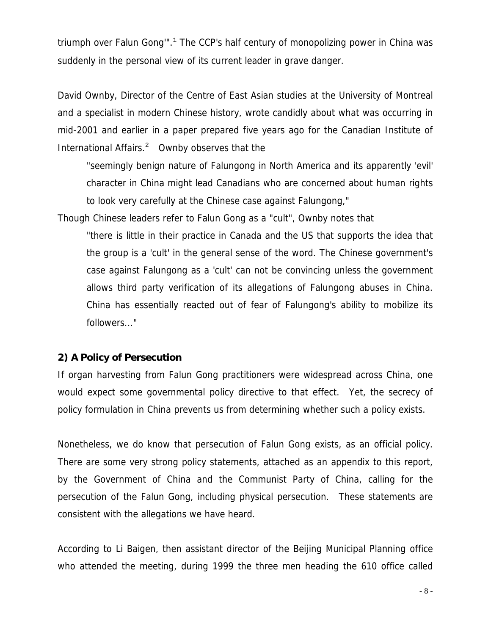triumph over Falun Gong" $.1$  The CCP's half century of monopolizing power in China was suddenly in the personal view of its current leader in grave danger.

David Ownby, Director of the Centre of East Asian studies at the University of Montreal and a specialist in modern Chinese history, wrote candidly about what was occurring in mid-2001 and earlier in a paper prepared five years ago for the Canadian Institute of International Affairs. $2$  Ownby observes that the

 "seemingly benign nature of Falungong in North America and its apparently 'evil' character in China might lead Canadians who are concerned about human rights to look very carefully at the Chinese case against Falungong,"

Though Chinese leaders refer to Falun Gong as a "cult", Ownby notes that

 "there is little in their practice in Canada and the US that supports the idea that the group is a 'cult' in the general sense of the word. The Chinese government's case against Falungong as a 'cult' can not be convincing unless the government allows third party verification of its allegations of Falungong abuses in China. China has essentially reacted out of fear of Falungong's ability to mobilize its followers..."

### **2) A Policy of Persecution**

If organ harvesting from Falun Gong practitioners were widespread across China, one would expect some governmental policy directive to that effect. Yet, the secrecy of policy formulation in China prevents us from determining whether such a policy exists.

Nonetheless, we do know that persecution of Falun Gong exists, as an official policy. There are some very strong policy statements, attached as an appendix to this report, by the Government of China and the Communist Party of China, calling for the persecution of the Falun Gong, including physical persecution. These statements are consistent with the allegations we have heard.

According to Li Baigen, then assistant director of the Beijing Municipal Planning office who attended the meeting, during 1999 the three men heading the 610 office called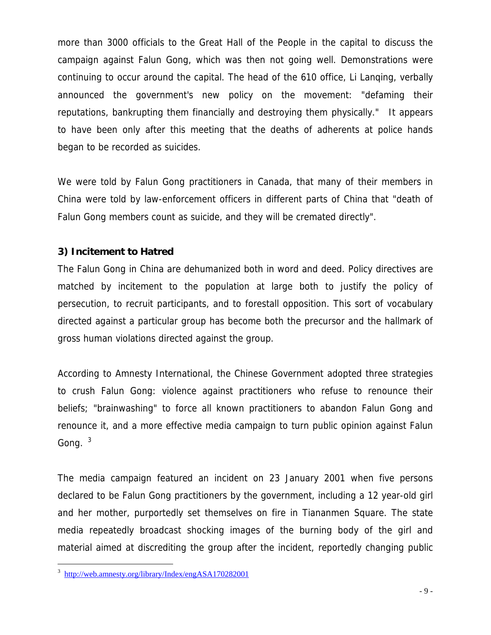more than 3000 officials to the Great Hall of the People in the capital to discuss the campaign against Falun Gong, which was then not going well. Demonstrations were continuing to occur around the capital. The head of the 610 office, Li Lanqing, verbally announced the government's new policy on the movement: "defaming their reputations, bankrupting them financially and destroying them physically." It appears to have been only after this meeting that the deaths of adherents at police hands began to be recorded as suicides.

We were told by Falun Gong practitioners in Canada, that many of their members in China were told by law-enforcement officers in different parts of China that "death of Falun Gong members count as suicide, and they will be cremated directly".

## **3) Incitement to Hatred**

The Falun Gong in China are dehumanized both in word and deed. Policy directives are matched by incitement to the population at large both to justify the policy of persecution, to recruit participants, and to forestall opposition. This sort of vocabulary directed against a particular group has become both the precursor and the hallmark of gross human violations directed against the group.

According to Amnesty International, the Chinese Government adopted three strategies to crush Falun Gong: violence against practitioners who refuse to renounce their beliefs; "brainwashing" to force all known practitioners to abandon Falun Gong and renounce it, and a more effective media campaign to turn public opinion against Falun Gong.  $3$ 

The media campaign featured an incident on 23 January 2001 when five persons declared to be Falun Gong practitioners by the government, including a 12 year-old girl and her mother, purportedly set themselves on fire in Tiananmen Square. The state media repeatedly broadcast shocking images of the burning body of the girl and material aimed at discrediting the group after the incident, reportedly changing public

i <sup>3</sup> http://web.amnesty.org/library/Index/engASA170282001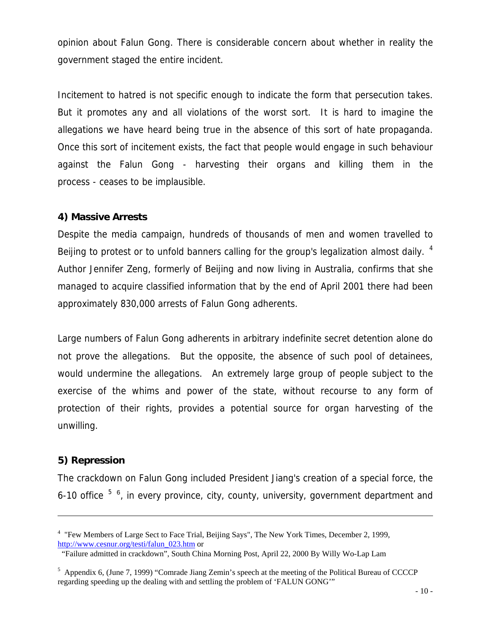opinion about Falun Gong. There is considerable concern about whether in reality the government staged the entire incident.

Incitement to hatred is not specific enough to indicate the form that persecution takes. But it promotes any and all violations of the worst sort. It is hard to imagine the allegations we have heard being true in the absence of this sort of hate propaganda. Once this sort of incitement exists, the fact that people would engage in such behaviour against the Falun Gong - harvesting their organs and killing them in the process - ceases to be implausible.

### **4) Massive Arrests**

Despite the media campaign, hundreds of thousands of men and women travelled to Beijing to protest or to unfold banners calling for the group's legalization almost daily. <sup>4</sup> Author Jennifer Zeng, formerly of Beijing and now living in Australia, confirms that she managed to acquire classified information that by the end of April 2001 there had been approximately 830,000 arrests of Falun Gong adherents.

Large numbers of Falun Gong adherents in arbitrary indefinite secret detention alone do not prove the allegations. But the opposite, the absence of such pool of detainees, would undermine the allegations. An extremely large group of people subject to the exercise of the whims and power of the state, without recourse to any form of protection of their rights, provides a potential source for organ harvesting of the unwilling.

### **5) Repression**

i<br>Li

The crackdown on Falun Gong included President Jiang's creation of a special force, the 6-10 office  $5/6$ , in every province, city, county, university, government department and

<sup>&</sup>lt;sup>4</sup> "Few Members of Large Sect to Face Trial, Beijing Says", The New York Times, December 2, 1999, http://www.cesnur.org/testi/falun\_023.htm or

 <sup>&</sup>quot;Failure admitted in crackdown", South China Morning Post, April 22, 2000 By Willy Wo-Lap Lam

 $<sup>5</sup>$  Appendix 6, (June 7, 1999) "Comrade Jiang Zemin's speech at the meeting of the Political Bureau of CCCCP</sup> regarding speeding up the dealing with and settling the problem of 'FALUN GONG'"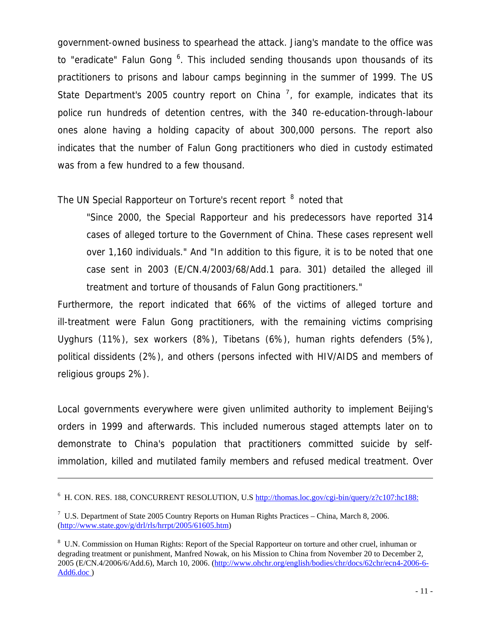government-owned business to spearhead the attack. Jiang's mandate to the office was to "eradicate" Falun Gong <sup>6</sup>. This included sending thousands upon thousands of its practitioners to prisons and labour camps beginning in the summer of 1999. The US State Department's 2005 country report on China  $<sup>7</sup>$ , for example, indicates that its</sup> police run hundreds of detention centres, with the 340 re-education-through-labour ones alone having a holding capacity of about 300,000 persons. The report also indicates that the number of Falun Gong practitioners who died in custody estimated was from a few hundred to a few thousand.

## The UN Special Rapporteur on Torture's recent report <sup>8</sup> noted that

 "Since 2000, the Special Rapporteur and his predecessors have reported 314 cases of alleged torture to the Government of China. These cases represent well over 1,160 individuals." And "In addition to this figure, it is to be noted that one case sent in 2003 (E/CN.4/2003/68/Add.1 para. 301) detailed the alleged ill treatment and torture of thousands of Falun Gong practitioners."

Furthermore, the report indicated that 66% of the victims of alleged torture and ill-treatment were Falun Gong practitioners, with the remaining victims comprising Uyghurs (11%), sex workers (8%), Tibetans (6%), human rights defenders (5%), political dissidents (2%), and others (persons infected with HIV/AIDS and members of religious groups 2%).

Local governments everywhere were given unlimited authority to implement Beijing's orders in 1999 and afterwards. This included numerous staged attempts later on to demonstrate to China's population that practitioners committed suicide by selfimmolation, killed and mutilated family members and refused medical treatment. Over

i<br>Li

<sup>&</sup>lt;sup>6</sup> H. CON. RES. 188, CONCURRENT RESOLUTION, U.S http://thomas.loc.gov/cgi-bin/query/z?c107:hc188:

 $7 \text{ U.S. Department of State } 2005 \text{ Country Reports on Human Rights Practice} - \text{China, March } 8, 2006.$ (http://www.state.gov/g/drl/rls/hrrpt/2005/61605.htm)

<sup>&</sup>lt;sup>8</sup> U.N. Commission on Human Rights: Report of the Special Rapporteur on torture and other cruel, inhuman or degrading treatment or punishment, Manfred Nowak, on his Mission to China from November 20 to December 2, 2005 (E/CN.4/2006/6/Add.6), March 10, 2006. (http://www.ohchr.org/english/bodies/chr/docs/62chr/ecn4-2006-6- Add6.doc )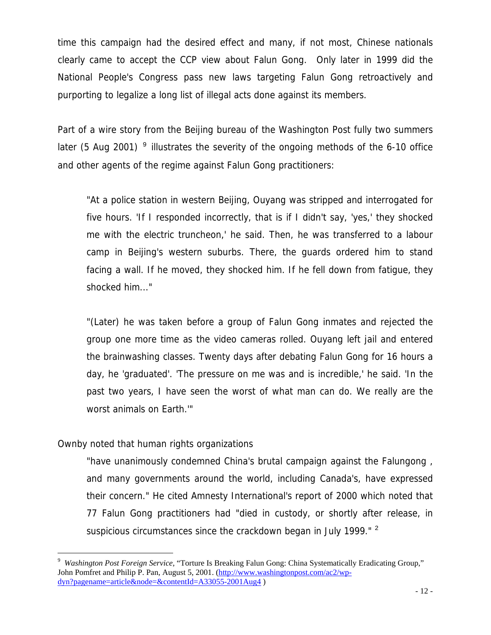time this campaign had the desired effect and many, if not most, Chinese nationals clearly came to accept the CCP view about Falun Gong. Only later in 1999 did the National People's Congress pass new laws targeting Falun Gong retroactively and purporting to legalize a long list of illegal acts done against its members.

Part of a wire story from the Beijing bureau of the Washington Post fully two summers later (5 Aug 2001)  $9$  illustrates the severity of the ongoing methods of the 6-10 office and other agents of the regime against Falun Gong practitioners:

 "At a police station in western Beijing, Ouyang was stripped and interrogated for five hours. 'If I responded incorrectly, that is if I didn't say, 'yes,' they shocked me with the electric truncheon,' he said. Then, he was transferred to a labour camp in Beijing's western suburbs. There, the guards ordered him to stand facing a wall. If he moved, they shocked him. If he fell down from fatigue, they shocked him..."

 "(Later) he was taken before a group of Falun Gong inmates and rejected the group one more time as the video cameras rolled. Ouyang left jail and entered the brainwashing classes. Twenty days after debating Falun Gong for 16 hours a day, he 'graduated'. 'The pressure on me was and is incredible,' he said. 'In the past two years, I have seen the worst of what man can do. We really are the worst animals on Earth.'"

### Ownby noted that human rights organizations

 $\overline{\phantom{0}}$ 

 "have unanimously condemned China's brutal campaign against the Falungong , and many governments around the world, including Canada's, have expressed their concern." He cited Amnesty International's report of 2000 which noted that 77 Falun Gong practitioners had "died in custody, or shortly after release, in suspicious circumstances since the crackdown began in July 1999."  $^2$ 

<sup>9</sup> *Washington Post Foreign Service*, "Torture Is Breaking Falun Gong: China Systematically Eradicating Group," John Pomfret and Philip P. Pan, August 5, 2001. (http://www.washingtonpost.com/ac2/wpdyn?pagename=article&node=&contentId=A33055-2001Aug4 )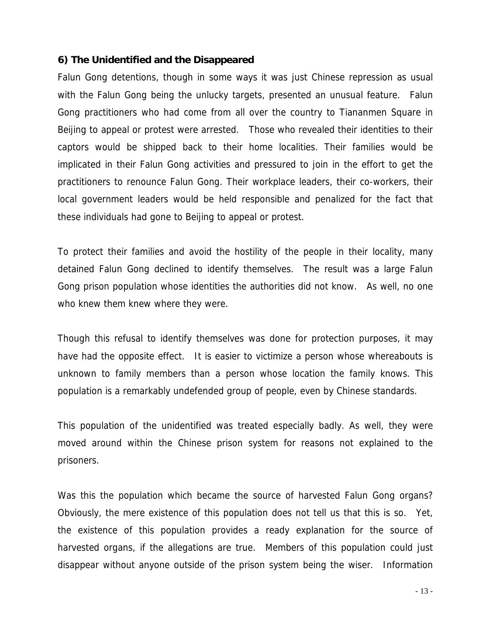### **6) The Unidentified and the Disappeared**

Falun Gong detentions, though in some ways it was just Chinese repression as usual with the Falun Gong being the unlucky targets, presented an unusual feature. Falun Gong practitioners who had come from all over the country to Tiananmen Square in Beijing to appeal or protest were arrested. Those who revealed their identities to their captors would be shipped back to their home localities. Their families would be implicated in their Falun Gong activities and pressured to join in the effort to get the practitioners to renounce Falun Gong. Their workplace leaders, their co-workers, their local government leaders would be held responsible and penalized for the fact that these individuals had gone to Beijing to appeal or protest.

To protect their families and avoid the hostility of the people in their locality, many detained Falun Gong declined to identify themselves. The result was a large Falun Gong prison population whose identities the authorities did not know. As well, no one who knew them knew where they were.

Though this refusal to identify themselves was done for protection purposes, it may have had the opposite effect. It is easier to victimize a person whose whereabouts is unknown to family members than a person whose location the family knows. This population is a remarkably undefended group of people, even by Chinese standards.

This population of the unidentified was treated especially badly. As well, they were moved around within the Chinese prison system for reasons not explained to the prisoners.

Was this the population which became the source of harvested Falun Gong organs? Obviously, the mere existence of this population does not tell us that this is so. Yet, the existence of this population provides a ready explanation for the source of harvested organs, if the allegations are true. Members of this population could just disappear without anyone outside of the prison system being the wiser. Information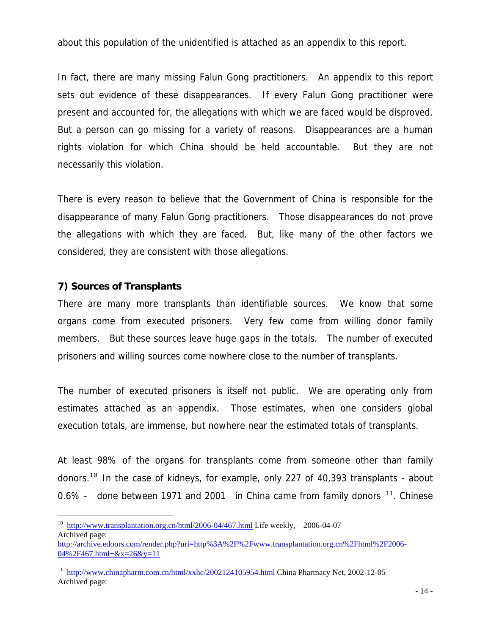about this population of the unidentified is attached as an appendix to this report.

In fact, there are many missing Falun Gong practitioners. An appendix to this report sets out evidence of these disappearances. If every Falun Gong practitioner were present and accounted for, the allegations with which we are faced would be disproved. But a person can go missing for a variety of reasons. Disappearances are a human rights violation for which China should be held accountable. But they are not necessarily this violation.

There is every reason to believe that the Government of China is responsible for the disappearance of many Falun Gong practitioners. Those disappearances do not prove the allegations with which they are faced. But, like many of the other factors we considered, they are consistent with those allegations.

## **7) Sources of Transplants**

i<br>Li

There are many more transplants than identifiable sources. We know that some organs come from executed prisoners. Very few come from willing donor family members. But these sources leave huge gaps in the totals. The number of executed prisoners and willing sources come nowhere close to the number of transplants.

The number of executed prisoners is itself not public. We are operating only from estimates attached as an appendix. Those estimates, when one considers global execution totals, are immense, but nowhere near the estimated totals of transplants.

At least 98% of the organs for transplants come from someone other than family donors.<sup>10</sup> In the case of kidneys, for example, only 227 of 40,393 transplants - about 0.6% - done between 1971 and 2001 in China came from family donors  $11$ . Chinese

<sup>&</sup>lt;sup>10</sup> http://www.transplantation.org.cn/html/2006-04/467.html Life weekly, 2006-04-07 Archived page:

http://archive.edoors.com/render.php?uri=http%3A%2F%2Fwww.transplantation.org.cn%2Fhtml%2F2006-  $04\%2F467.html + \&x=26\&y=11$ 

<sup>&</sup>lt;sup>11</sup> http://www.chinapharm.com.cn/html/xxhc/2002124105954.html China Pharmacy Net, 2002-12-05 Archived page: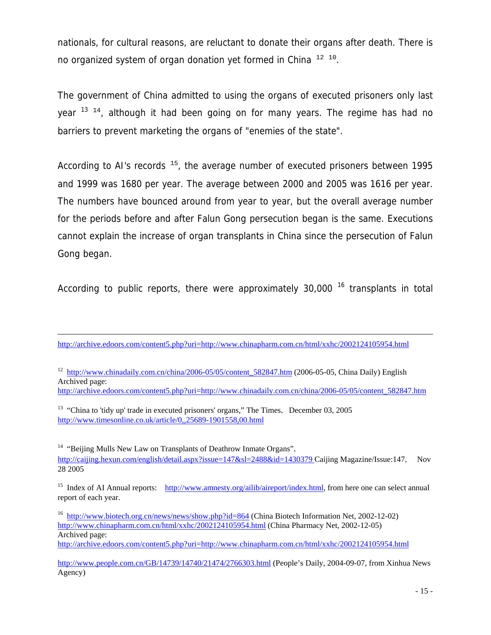nationals, for cultural reasons, are reluctant to donate their organs after death. There is no organized system of organ donation yet formed in China  $12 \frac{10}{10}$ .

The government of China admitted to using the organs of executed prisoners only last year <sup>13 14</sup>, although it had been going on for many years. The regime has had no barriers to prevent marketing the organs of "enemies of the state".

According to AI's records  $15$ , the average number of executed prisoners between 1995 and 1999 was 1680 per year. The average between 2000 and 2005 was 1616 per year. The numbers have bounced around from year to year, but the overall average number for the periods before and after Falun Gong persecution began is the same. Executions cannot explain the increase of organ transplants in China since the persecution of Falun Gong began.

According to public reports, there were approximately  $30,000$  <sup>16</sup> transplants in total

<sup>12</sup> http://www.chinadaily.com.cn/china/2006-05/05/content\_582847.htm (2006-05-05, China Daily) English Archived page:

http://archive.edoors.com/content5.php?uri=http://www.chinadaily.com.cn/china/2006-05/05/content\_582847.htm

i

http://archive.edoors.com/content5.php?uri=http://www.chinapharm.com.cn/html/xxhc/2002124105954.html

<sup>&</sup>lt;sup>13</sup> "China to 'tidy up' trade in executed prisoners' organs," The Times, December 03, 2005 http://www.timesonline.co.uk/article/0,,25689-1901558,00.html

<sup>&</sup>lt;sup>14</sup> "Beijing Mulls New Law on Transplants of Deathrow Inmate Organs", http://caijing.hexun.com/english/detail.aspx?issue=147&sl=2488&id=1430379 Caijing Magazine/Issue:147, Nov 28 2005

<sup>&</sup>lt;sup>15</sup> Index of AI Annual reports: http://www.amnesty.org/ailib/aireport/index.html, from here one can select annual report of each year.

<sup>&</sup>lt;sup>16</sup> http://www.biotech.org.cn/news/news/show.php?id=864 (China Biotech Information Net, 2002-12-02) http://www.chinapharm.com.cn/html/xxhc/2002124105954.html (China Pharmacy Net, 2002-12-05) Archived page:

http://archive.edoors.com/content5.php?uri=http://www.chinapharm.com.cn/html/xxhc/2002124105954.html

http://www.people.com.cn/GB/14739/14740/21474/2766303.html (People's Daily, 2004-09-07, from Xinhua News Agency)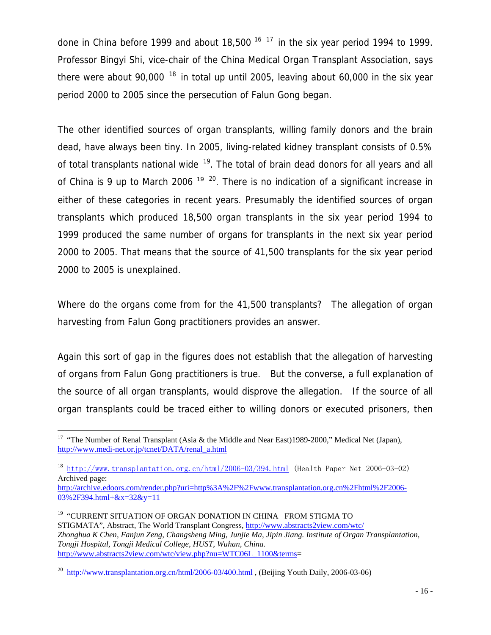done in China before 1999 and about 18,500  $^{16}$  17 in the six year period 1994 to 1999. Professor Bingyi Shi, vice-chair of the China Medical Organ Transplant Association, says there were about 90,000  $^{18}$  in total up until 2005, leaving about 60,000 in the six year period 2000 to 2005 since the persecution of Falun Gong began.

The other identified sources of organ transplants, willing family donors and the brain dead, have always been tiny. In 2005, living-related kidney transplant consists of 0.5% of total transplants national wide  $19$ . The total of brain dead donors for all years and all of China is 9 up to March 2006  $19^{20}$ . There is no indication of a significant increase in either of these categories in recent years. Presumably the identified sources of organ transplants which produced 18,500 organ transplants in the six year period 1994 to 1999 produced the same number of organs for transplants in the next six year period 2000 to 2005. That means that the source of 41,500 transplants for the six year period 2000 to 2005 is unexplained.

Where do the organs come from for the 41,500 transplants? The allegation of organ harvesting from Falun Gong practitioners provides an answer.

Again this sort of gap in the figures does not establish that the allegation of harvesting of organs from Falun Gong practitioners is true. But the converse, a full explanation of the source of all organ transplants, would disprove the allegation. If the source of all organ transplants could be traced either to willing donors or executed prisoners, then

i

<sup>&</sup>lt;sup>17</sup> "The Number of Renal Transplant (Asia & the Middle and Near East)1989-2000," Medical Net (Japan), http://www.medi-net.or.jp/tcnet/DATA/renal\_a.html

<sup>&</sup>lt;sup>18</sup> http://www.transplantation.org.cn/html/2006-03/394.html (Health Paper Net 2006-03-02) Archived page:

http://archive.edoors.com/render.php?uri=http%3A%2F%2Fwww.transplantation.org.cn%2Fhtml%2F2006- 03%2F394.html+&x=32&y=11

<sup>&</sup>lt;sup>19</sup> "CURRENT SITUATION OF ORGAN DONATION IN CHINA FROM STIGMA TO STIGMATA", Abstract, The World Transplant Congress, http://www.abstracts2view.com/wtc/ *Zhonghua K Chen, Fanjun Zeng, Changsheng Ming, Junjie Ma, Jipin Jiang. Institute of Organ Transplantation, Tongji Hospital, Tongji Medical College, HUST, Wuhan, China.* http://www.abstracts2view.com/wtc/view.php?nu=WTC06L\_1100&terms=

<sup>&</sup>lt;sup>20</sup> http://www.transplantation.org.cn/html/2006-03/400.html, (Beijing Youth Daily, 2006-03-06)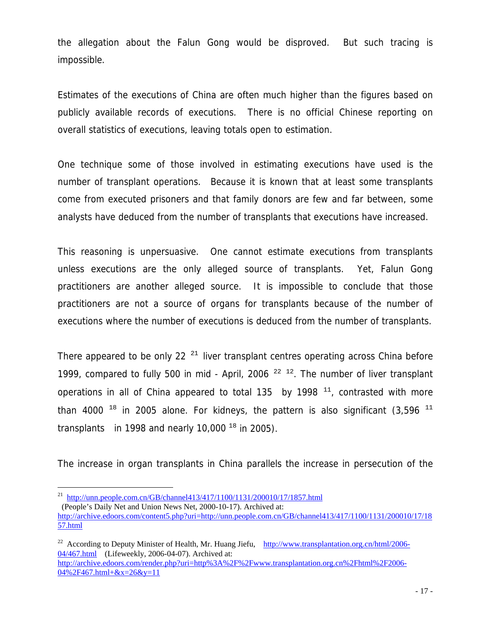the allegation about the Falun Gong would be disproved. But such tracing is impossible.

Estimates of the executions of China are often much higher than the figures based on publicly available records of executions. There is no official Chinese reporting on overall statistics of executions, leaving totals open to estimation.

One technique some of those involved in estimating executions have used is the number of transplant operations. Because it is known that at least some transplants come from executed prisoners and that family donors are few and far between, some analysts have deduced from the number of transplants that executions have increased.

This reasoning is unpersuasive. One cannot estimate executions from transplants unless executions are the only alleged source of transplants. Yet, Falun Gong practitioners are another alleged source. It is impossible to conclude that those practitioners are not a source of organs for transplants because of the number of executions where the number of executions is deduced from the number of transplants.

There appeared to be only 22 $21$  liver transplant centres operating across China before 1999, compared to fully 500 in mid - April, 2006  $22-12$ . The number of liver transplant operations in all of China appeared to total 135 by 1998  $<sup>11</sup>$ , contrasted with more</sup> than 4000  $18$  in 2005 alone. For kidneys, the pattern is also significant (3,596  $11$ ) transplants in 1998 and nearly 10,000  $^{18}$  in 2005).

The increase in organ transplants in China parallels the increase in persecution of the

 $\overline{\phantom{0}}$ 

<sup>&</sup>lt;sup>21</sup> http://unn.people.com.cn/GB/channel413/417/1100/1131/200010/17/1857.html

 <sup>(</sup>People's Daily Net and Union News Net, 2000-10-17). Archived at:

http://archive.edoors.com/content5.php?uri=http://unn.people.com.cn/GB/channel413/417/1100/1131/200010/17/18 57.html

<sup>&</sup>lt;sup>22</sup> According to Deputy Minister of Health, Mr. Huang Jiefu, http://www.transplantation.org.cn/html/2006-04/467.html (Lifeweekly, 2006-04-07). Archived at: http://archive.edoors.com/render.php?uri=http%3A%2F%2Fwww.transplantation.org.cn%2Fhtml%2F2006-  $04\%2F467.html + &x=26\&y=11$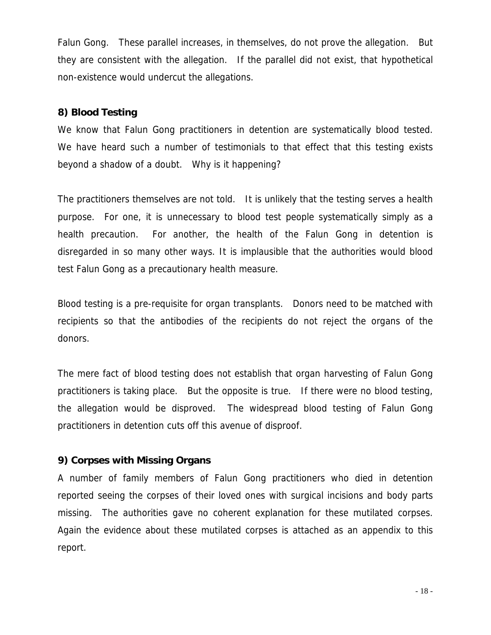Falun Gong. These parallel increases, in themselves, do not prove the allegation. But they are consistent with the allegation. If the parallel did not exist, that hypothetical non-existence would undercut the allegations.

## **8) Blood Testing**

We know that Falun Gong practitioners in detention are systematically blood tested. We have heard such a number of testimonials to that effect that this testing exists beyond a shadow of a doubt. Why is it happening?

The practitioners themselves are not told. It is unlikely that the testing serves a health purpose. For one, it is unnecessary to blood test people systematically simply as a health precaution. For another, the health of the Falun Gong in detention is disregarded in so many other ways. It is implausible that the authorities would blood test Falun Gong as a precautionary health measure.

Blood testing is a pre-requisite for organ transplants. Donors need to be matched with recipients so that the antibodies of the recipients do not reject the organs of the donors.

The mere fact of blood testing does not establish that organ harvesting of Falun Gong practitioners is taking place. But the opposite is true. If there were no blood testing, the allegation would be disproved. The widespread blood testing of Falun Gong practitioners in detention cuts off this avenue of disproof.

### **9) Corpses with Missing Organs**

A number of family members of Falun Gong practitioners who died in detention reported seeing the corpses of their loved ones with surgical incisions and body parts missing. The authorities gave no coherent explanation for these mutilated corpses. Again the evidence about these mutilated corpses is attached as an appendix to this report.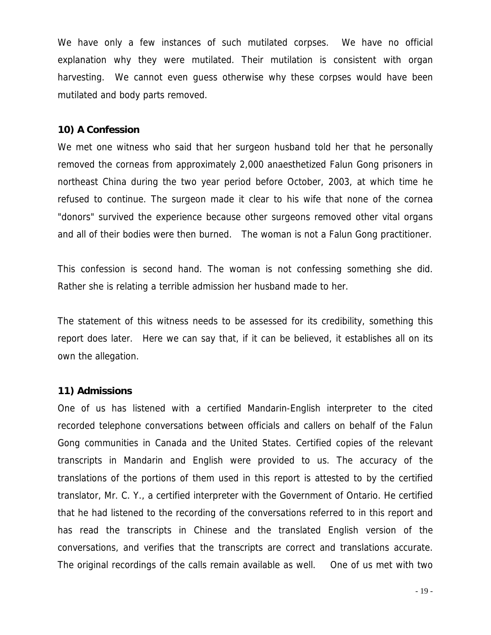We have only a few instances of such mutilated corpses. We have no official explanation why they were mutilated. Their mutilation is consistent with organ harvesting. We cannot even guess otherwise why these corpses would have been mutilated and body parts removed.

#### **10) A Confession**

We met one witness who said that her surgeon husband told her that he personally removed the corneas from approximately 2,000 anaesthetized Falun Gong prisoners in northeast China during the two year period before October, 2003, at which time he refused to continue. The surgeon made it clear to his wife that none of the cornea "donors" survived the experience because other surgeons removed other vital organs and all of their bodies were then burned. The woman is not a Falun Gong practitioner.

This confession is second hand. The woman is not confessing something she did. Rather she is relating a terrible admission her husband made to her.

The statement of this witness needs to be assessed for its credibility, something this report does later. Here we can say that, if it can be believed, it establishes all on its own the allegation.

#### **11) Admissions**

One of us has listened with a certified Mandarin-English interpreter to the cited recorded telephone conversations between officials and callers on behalf of the Falun Gong communities in Canada and the United States. Certified copies of the relevant transcripts in Mandarin and English were provided to us. The accuracy of the translations of the portions of them used in this report is attested to by the certified translator, Mr. C. Y., a certified interpreter with the Government of Ontario. He certified that he had listened to the recording of the conversations referred to in this report and has read the transcripts in Chinese and the translated English version of the conversations, and verifies that the transcripts are correct and translations accurate. The original recordings of the calls remain available as well. One of us met with two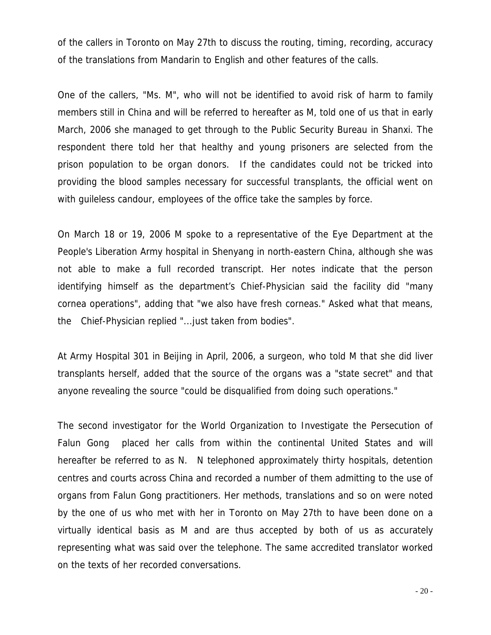of the callers in Toronto on May 27th to discuss the routing, timing, recording, accuracy of the translations from Mandarin to English and other features of the calls.

One of the callers, "Ms. M", who will not be identified to avoid risk of harm to family members still in China and will be referred to hereafter as M, told one of us that in early March, 2006 she managed to get through to the Public Security Bureau in Shanxi. The respondent there told her that healthy and young prisoners are selected from the prison population to be organ donors. If the candidates could not be tricked into providing the blood samples necessary for successful transplants, the official went on with guileless candour, employees of the office take the samples by force.

On March 18 or 19, 2006 M spoke to a representative of the Eye Department at the People's Liberation Army hospital in Shenyang in north-eastern China, although she was not able to make a full recorded transcript. Her notes indicate that the person identifying himself as the department's Chief-Physician said the facility did "many cornea operations", adding that "we also have fresh corneas." Asked what that means, the Chief-Physician replied "...just taken from bodies".

At Army Hospital 301 in Beijing in April, 2006, a surgeon, who told M that she did liver transplants herself, added that the source of the organs was a "state secret" and that anyone revealing the source "could be disqualified from doing such operations."

The second investigator for the World Organization to Investigate the Persecution of Falun Gong placed her calls from within the continental United States and will hereafter be referred to as N. N telephoned approximately thirty hospitals, detention centres and courts across China and recorded a number of them admitting to the use of organs from Falun Gong practitioners. Her methods, translations and so on were noted by the one of us who met with her in Toronto on May 27th to have been done on a virtually identical basis as M and are thus accepted by both of us as accurately representing what was said over the telephone. The same accredited translator worked on the texts of her recorded conversations.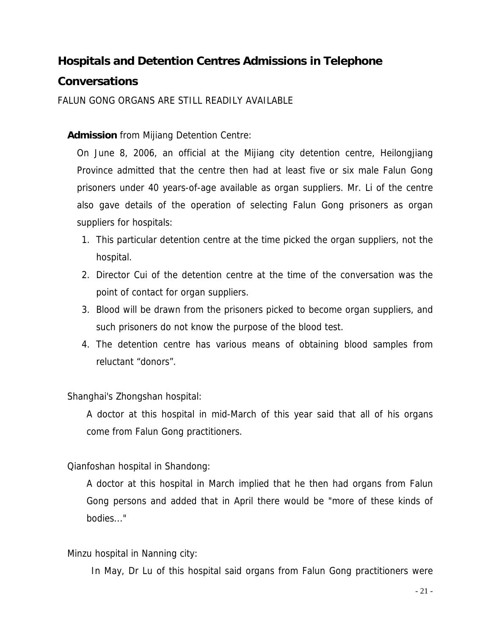# **Hospitals and Detention Centres Admissions in Telephone**

# **Conversations**

FALUN GONG ORGANS ARE STILL READILY AVAILABLE

## **Admission** from Mijiang Detention Centre:

On June 8, 2006, an official at the Mijiang city detention centre, Heilongjiang Province admitted that the centre then had at least five or six male Falun Gong prisoners under 40 years-of-age available as organ suppliers. Mr. Li of the centre also gave details of the operation of selecting Falun Gong prisoners as organ suppliers for hospitals:

- 1. This particular detention centre at the time picked the organ suppliers, not the hospital.
- 2. Director Cui of the detention centre at the time of the conversation was the point of contact for organ suppliers.
- 3. Blood will be drawn from the prisoners picked to become organ suppliers, and such prisoners do not know the purpose of the blood test.
- 4. The detention centre has various means of obtaining blood samples from reluctant "donors".

## Shanghai's Zhongshan hospital:

A doctor at this hospital in mid-March of this year said that all of his organs come from Falun Gong practitioners.

## Qianfoshan hospital in Shandong:

A doctor at this hospital in March implied that he then had organs from Falun Gong persons and added that in April there would be "more of these kinds of bodies..."

## Minzu hospital in Nanning city:

In May, Dr Lu of this hospital said organs from Falun Gong practitioners were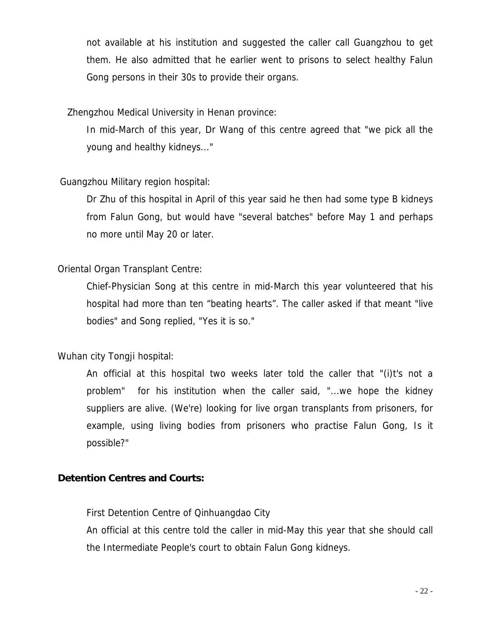not available at his institution and suggested the caller call Guangzhou to get them. He also admitted that he earlier went to prisons to select healthy Falun Gong persons in their 30s to provide their organs.

## Zhengzhou Medical University in Henan province:

In mid-March of this year, Dr Wang of this centre agreed that "we pick all the young and healthy kidneys..."

## Guangzhou Military region hospital:

Dr Zhu of this hospital in April of this year said he then had some type B kidneys from Falun Gong, but would have "several batches" before May 1 and perhaps no more until May 20 or later.

## Oriental Organ Transplant Centre:

Chief-Physician Song at this centre in mid-March this year volunteered that his hospital had more than ten "beating hearts". The caller asked if that meant "live bodies" and Song replied, "Yes it is so."

## Wuhan city Tongji hospital:

An official at this hospital two weeks later told the caller that "(i)t's not a problem" for his institution when the caller said, "...we hope the kidney suppliers are alive. (We're) looking for live organ transplants from prisoners, for example, using living bodies from prisoners who practise Falun Gong, Is it possible?"

## **Detention Centres and Courts:**

First Detention Centre of Qinhuangdao City

An official at this centre told the caller in mid-May this year that she should call the Intermediate People's court to obtain Falun Gong kidneys.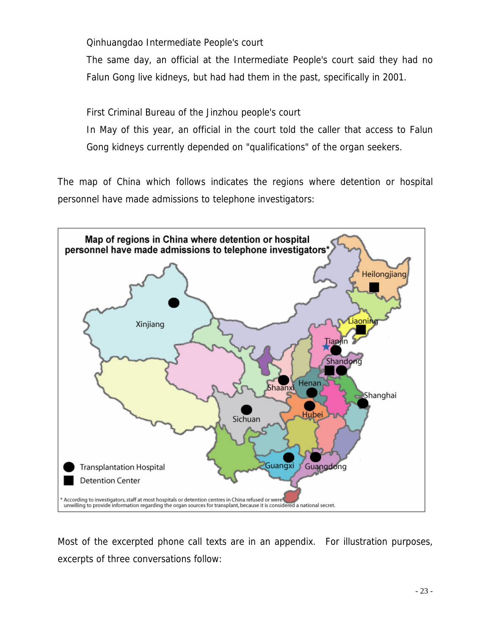Qinhuangdao Intermediate People's court

The same day, an official at the Intermediate People's court said they had no Falun Gong live kidneys, but had had them in the past, specifically in 2001.

First Criminal Bureau of the Jinzhou people's court

In May of this year, an official in the court told the caller that access to Falun Gong kidneys currently depended on "qualifications" of the organ seekers.

The map of China which follows indicates the regions where detention or hospital personnel have made admissions to telephone investigators:



Most of the excerpted phone call texts are in an appendix. For illustration purposes, excerpts of three conversations follow: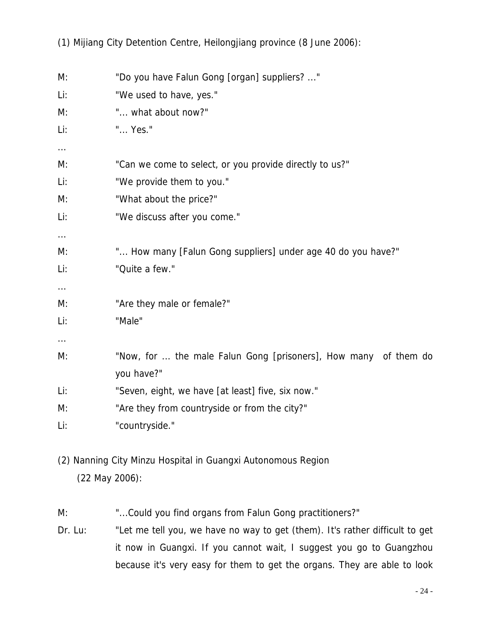(1) Mijiang City Detention Centre, Heilongjiang province (8 June 2006):

| M:       | "Do you have Falun Gong [organ] suppliers? "                    |
|----------|-----------------------------------------------------------------|
| Li:      | "We used to have, yes."                                         |
| M:       | " what about now?"                                              |
| Li:      | " Yes."                                                         |
| $\cdots$ |                                                                 |
| M:       | "Can we come to select, or you provide directly to us?"         |
| Li:      | "We provide them to you."                                       |
| M:       | "What about the price?"                                         |
| Li:      | "We discuss after you come."                                    |
| $\cdots$ |                                                                 |
| M:       | " How many [Falun Gong suppliers] under age 40 do you have?"    |
| Li:      | "Quite a few."                                                  |
| $\cdots$ |                                                                 |
| M:       | "Are they male or female?"                                      |
| Li:      | "Male"                                                          |
| $\cdots$ |                                                                 |
| M:       | "Now, for  the male Falun Gong [prisoners], How many of them do |
|          | you have?"                                                      |
| Li:      | "Seven, eight, we have [at least] five, six now."               |
| M:       | "Are they from countryside or from the city?"                   |
| Li:      | "countryside."                                                  |

(2) Nanning City Minzu Hospital in Guangxi Autonomous Region (22 May 2006):

M: "...Could you find organs from Falun Gong practitioners?"

Dr. Lu: "Let me tell you, we have no way to get (them). It's rather difficult to get it now in Guangxi. If you cannot wait, I suggest you go to Guangzhou because it's very easy for them to get the organs. They are able to look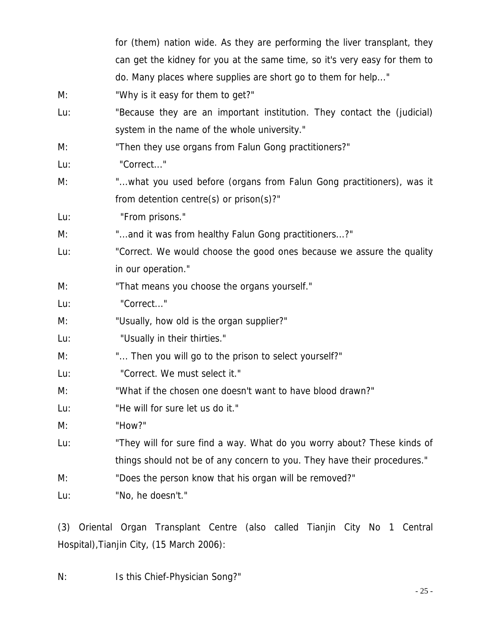|     | for (them) nation wide. As they are performing the liver transplant, they  |
|-----|----------------------------------------------------------------------------|
|     | can get the kidney for you at the same time, so it's very easy for them to |
|     | do. Many places where supplies are short go to them for help"              |
| M:  | "Why is it easy for them to get?"                                          |
| Lu: | "Because they are an important institution. They contact the (judicial)    |
|     | system in the name of the whole university."                               |
| M:  | "Then they use organs from Falun Gong practitioners?"                      |
| Lu: | "Correct"                                                                  |
| M:  | "what you used before (organs from Falun Gong practitioners), was it       |
|     | from detention centre(s) or $prison(s)$ ?"                                 |
| Lu: | "From prisons."                                                            |
| M:  | "and it was from healthy Falun Gong practitioners?"                        |
| Lu: | "Correct. We would choose the good ones because we assure the quality      |
|     | in our operation."                                                         |
| M:  | "That means you choose the organs yourself."                               |
| Lu: | "Correct"                                                                  |
| M:  | "Usually, how old is the organ supplier?"                                  |
| Lu: | "Usually in their thirties."                                               |
| M:  | " Then you will go to the prison to select yourself?"                      |
| Lu: | "Correct. We must select it."                                              |
| M:  | "What if the chosen one doesn't want to have blood drawn?"                 |
| Lu: | "He will for sure let us do it."                                           |
| M:  | "How?"                                                                     |
| Lu: | "They will for sure find a way. What do you worry about? These kinds of    |
|     | things should not be of any concern to you. They have their procedures."   |
| M:  | "Does the person know that his organ will be removed?"                     |
| Lu: | "No, he doesn't."                                                          |

(3) Oriental Organ Transplant Centre (also called Tianjin City No 1 Central Hospital),Tianjin City, (15 March 2006):

N: Is this Chief-Physician Song?"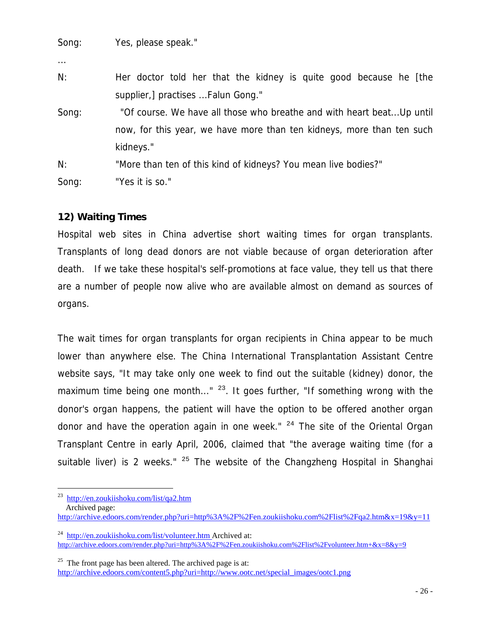| Song: | Yes, please speak." |
|-------|---------------------|
|-------|---------------------|

| $\cdots$ |                                                                        |
|----------|------------------------------------------------------------------------|
| N:       | Her doctor told her that the kidney is quite good because he [the      |
|          | supplier,] practises  Falun Gong."                                     |
| Song:    | "Of course. We have all those who breathe and with heart beat Up until |
|          | now, for this year, we have more than ten kidneys, more than ten such  |
|          | kidneys."                                                              |
| N:       | "More than ten of this kind of kidneys? You mean live bodies?"         |
| Song:    | "Yes it is so."                                                        |

## **12) Waiting Times**

Hospital web sites in China advertise short waiting times for organ transplants. Transplants of long dead donors are not viable because of organ deterioration after death. If we take these hospital's self-promotions at face value, they tell us that there are a number of people now alive who are available almost on demand as sources of organs.

The wait times for organ transplants for organ recipients in China appear to be much lower than anywhere else. The China International Transplantation Assistant Centre website says, "It may take only one week to find out the suitable (kidney) donor, the maximum time being one month..." <sup>23</sup>. It goes further, "If something wrong with the donor's organ happens, the patient will have the option to be offered another organ donor and have the operation again in one week."  $24$  The site of the Oriental Organ Transplant Centre in early April, 2006, claimed that "the average waiting time (for a suitable liver) is 2 weeks."  $25$  The website of the Changzheng Hospital in Shanghai

i <sup>23</sup> http://en.zoukiishoku.com/list/qa2.htm

Archived page:

http://archive.edoors.com/render.php?uri=http%3A%2F%2Fen.zoukiishoku.com%2Flist%2Fqa2.htm&x=19&y=11

<sup>&</sup>lt;sup>24</sup> http://en.zoukiishoku.com/list/volunteer.htm Archived at: http://archive.edoors.com/render.php?uri=http%3A%2F%2Fen.zoukiishoku.com%2Flist%2Fvolunteer.htm+&x=8&y=9

 $25$  The front page has been altered. The archived page is at: http://archive.edoors.com/content5.php?uri=http://www.ootc.net/special\_images/ootc1.png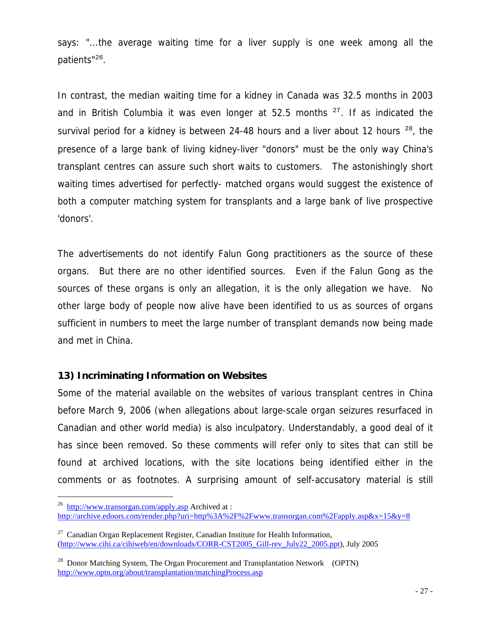says: "...the average waiting time for a liver supply is one week among all the patients"<sup>26</sup>.

In contrast, the median waiting time for a kidney in Canada was 32.5 months in 2003 and in British Columbia it was even longer at 52.5 months  $27$ . If as indicated the survival period for a kidney is between 24-48 hours and a liver about 12 hours  $28$ , the presence of a large bank of living kidney-liver "donors" must be the only way China's transplant centres can assure such short waits to customers. The astonishingly short waiting times advertised for perfectly- matched organs would suggest the existence of both a computer matching system for transplants and a large bank of live prospective 'donors'.

The advertisements do not identify Falun Gong practitioners as the source of these organs. But there are no other identified sources. Even if the Falun Gong as the sources of these organs is only an allegation, it is the only allegation we have. No other large body of people now alive have been identified to us as sources of organs sufficient in numbers to meet the large number of transplant demands now being made and met in China.

### **13) Incriminating Information on Websites**

Some of the material available on the websites of various transplant centres in China before March 9, 2006 (when allegations about large-scale organ seizures resurfaced in Canadian and other world media) is also inculpatory. Understandably, a good deal of it has since been removed. So these comments will refer only to sites that can still be found at archived locations, with the site locations being identified either in the comments or as footnotes. A surprising amount of self-accusatory material is still

 $\overline{\phantom{0}}$  $^{26}$  http://www.transorgan.com/apply.asp Archived at : http://archive.edoors.com/render.php?uri=http%3A%2F%2Fwww.transorgan.com%2Fapply.asp&x=15&y=8

 $27$  Canadian Organ Replacement Register, Canadian Institute for Health Information, (http://www.cihi.ca/cihiweb/en/downloads/CORR-CST2005\_Gill-rev\_July22\_2005.ppt), July 2005

<sup>&</sup>lt;sup>28</sup> Donor Matching System, The Organ Procurement and Transplantation Network (OPTN) http://www.optn.org/about/transplantation/matchingProcess.asp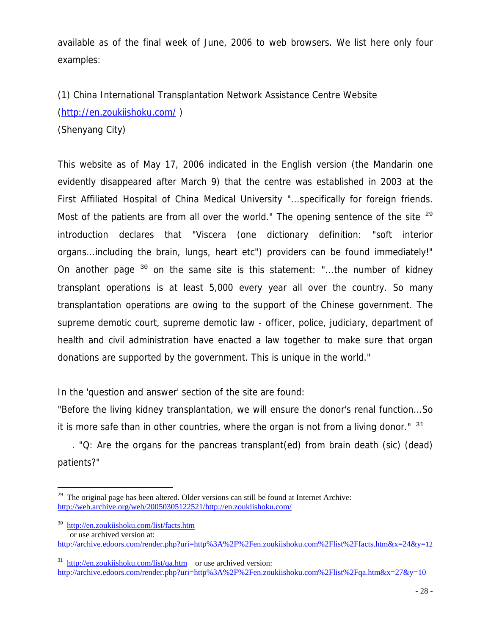available as of the final week of June, 2006 to web browsers. We list here only four examples:

(1) China International Transplantation Network Assistance Centre Website (http://en.zoukiishoku.com/ )

(Shenyang City)

This website as of May 17, 2006 indicated in the English version (the Mandarin one evidently disappeared after March 9) that the centre was established in 2003 at the First Affiliated Hospital of China Medical University "...specifically for foreign friends. Most of the patients are from all over the world." The opening sentence of the site  $29$ introduction declares that "Viscera (one dictionary definition: "soft interior organs...including the brain, lungs, heart etc") providers can be found immediately!" On another page  $30$  on the same site is this statement: "...the number of kidney transplant operations is at least 5,000 every year all over the country. So many transplantation operations are owing to the support of the Chinese government. The supreme demotic court, supreme demotic law - officer, police, judiciary, department of health and civil administration have enacted a law together to make sure that organ donations are supported by the government. This is unique in the world."

In the 'question and answer' section of the site are found:

"Before the living kidney transplantation, we will ensure the donor's renal function...So it is more safe than in other countries, where the organ is not from a living donor."  $31$ 

 . "Q: Are the organs for the pancreas transplant(ed) from brain death (sic) (dead) patients?"

i

http://archive.edoors.com/render.php?uri=http%3A%2F%2Fen.zoukiishoku.com%2Flist%2Ffacts.htm&x=24&y=12

 $29$  The original page has been altered. Older versions can still be found at Internet Archive: http://web.archive.org/web/20050305122521/http://en.zoukiishoku.com/

<sup>30</sup> http://en.zoukiishoku.com/list/facts.htm or use archived version at:

 $31$  http://en.zoukiishoku.com/list/qa.htm or use archived version: http://archive.edoors.com/render.php?uri=http%3A%2F%2Fen.zoukiishoku.com%2Flist%2Fqa.htm&x=27&y=10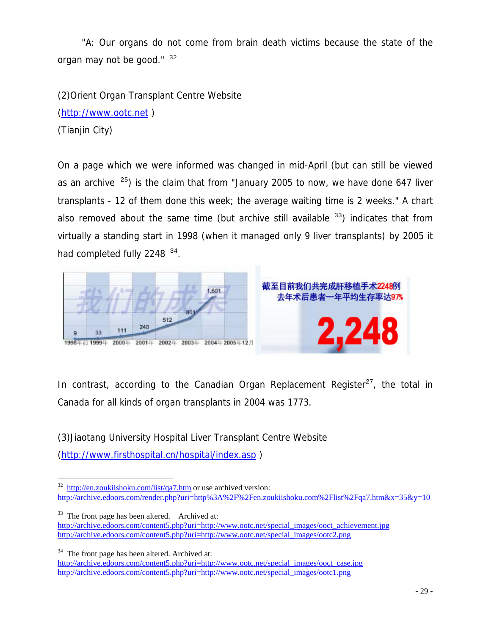"A: Our organs do not come from brain death victims because the state of the organ may not be good."  $32$ 

(2)Orient Organ Transplant Centre Website (http://www.ootc.net ) (Tianjin City)

On a page which we were informed was changed in mid-April (but can still be viewed as an archive  $25$ ) is the claim that from "January 2005 to now, we have done 647 liver transplants - 12 of them done this week; the average waiting time is 2 weeks." A chart also removed about the same time (but archive still available  $33$ ) indicates that from virtually a standing start in 1998 (when it managed only 9 liver transplants) by 2005 it had completed fully 2248 <sup>34</sup>.



In contrast, according to the Canadian Organ Replacement Register<sup>27</sup>, the total in Canada for all kinds of organ transplants in 2004 was 1773.

(3)Jiaotang University Hospital Liver Transplant Centre Website

(http://www.firsthospital.cn/hospital/index.asp )

 $33$  The front page has been altered. Archived at: http://archive.edoors.com/content5.php?uri=http://www.ootc.net/special\_images/ooct\_achievement.jpg http://archive.edoors.com/content5.php?uri=http://www.ootc.net/special\_images/ootc2.png

 $34$  The front page has been altered. Archived at:

http://archive.edoors.com/content5.php?uri=http://www.ootc.net/special\_images/ooct\_case.jpg http://archive.edoors.com/content5.php?uri=http://www.ootc.net/special\_images/ootc1.png

 $\overline{\phantom{0}}$  $32$  http://en.zoukiishoku.com/list/qa7.htm or use archived version: http://archive.edoors.com/render.php?uri=http%3A%2F%2Fen.zoukiishoku.com%2Flist%2Fqa7.htm&x=35&y=10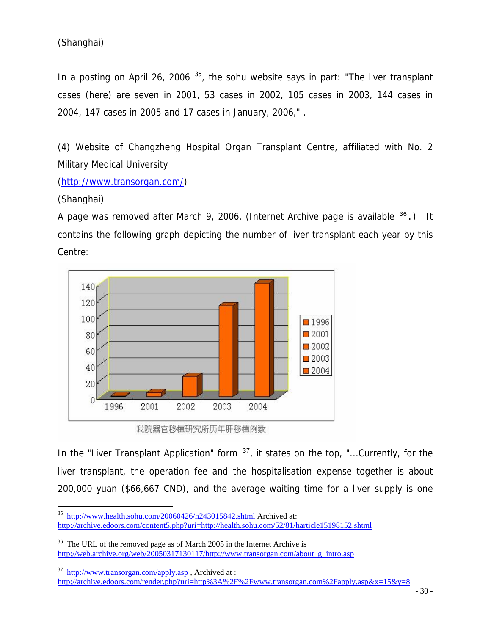# (Shanghai)

In a posting on April 26, 2006  $35$ , the sohu website says in part: "The liver transplant cases (here) are seven in 2001, 53 cases in 2002, 105 cases in 2003, 144 cases in 2004, 147 cases in 2005 and 17 cases in January, 2006," .

(4) Website of Changzheng Hospital Organ Transplant Centre, affiliated with No. 2 Military Medical University

(http://www.transorgan.com/)

## (Shanghai)

i<br>Li

A page was removed after March 9, 2006. (Internet Archive page is available  $36$ .) It contains the following graph depicting the number of liver transplant each year by this Centre:



我院器官移植研究所历年肝移植例数

In the "Liver Transplant Application" form  $37$ , it states on the top, "...Currently, for the liver transplant, the operation fee and the hospitalisation expense together is about 200,000 yuan (\$66,667 CND), and the average waiting time for a liver supply is one

<sup>&</sup>lt;sup>35</sup> http://www.health.sohu.com/20060426/n243015842.shtml Archived at: http://archive.edoors.com/content5.php?uri=http://health.sohu.com/52/81/harticle15198152.shtml

 $36$  The URL of the removed page as of March 2005 in the Internet Archive is http://web.archive.org/web/20050317130117/http://www.transorgan.com/about\_g\_intro.asp

 $37$  http://www.transorgan.com/apply.asp, Archived at : http://archive.edoors.com/render.php?uri=http%3A%2F%2Fwww.transorgan.com%2Fapply.asp&x=15&y=8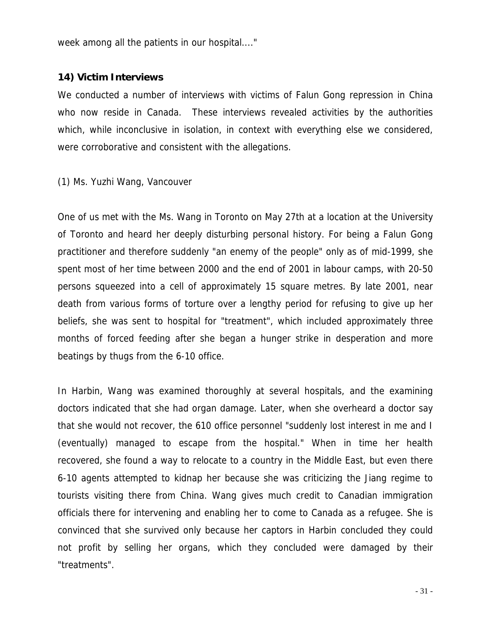week among all the patients in our hospital...."

#### **14) Victim Interviews**

We conducted a number of interviews with victims of Falun Gong repression in China who now reside in Canada. These interviews revealed activities by the authorities which, while inconclusive in isolation, in context with everything else we considered, were corroborative and consistent with the allegations.

#### (1) Ms. Yuzhi Wang, Vancouver

One of us met with the Ms. Wang in Toronto on May 27th at a location at the University of Toronto and heard her deeply disturbing personal history. For being a Falun Gong practitioner and therefore suddenly "an enemy of the people" only as of mid-1999, she spent most of her time between 2000 and the end of 2001 in labour camps, with 20-50 persons squeezed into a cell of approximately 15 square metres. By late 2001, near death from various forms of torture over a lengthy period for refusing to give up her beliefs, she was sent to hospital for "treatment", which included approximately three months of forced feeding after she began a hunger strike in desperation and more beatings by thugs from the 6-10 office.

In Harbin, Wang was examined thoroughly at several hospitals, and the examining doctors indicated that she had organ damage. Later, when she overheard a doctor say that she would not recover, the 610 office personnel "suddenly lost interest in me and I (eventually) managed to escape from the hospital." When in time her health recovered, she found a way to relocate to a country in the Middle East, but even there 6-10 agents attempted to kidnap her because she was criticizing the Jiang regime to tourists visiting there from China. Wang gives much credit to Canadian immigration officials there for intervening and enabling her to come to Canada as a refugee. She is convinced that she survived only because her captors in Harbin concluded they could not profit by selling her organs, which they concluded were damaged by their "treatments".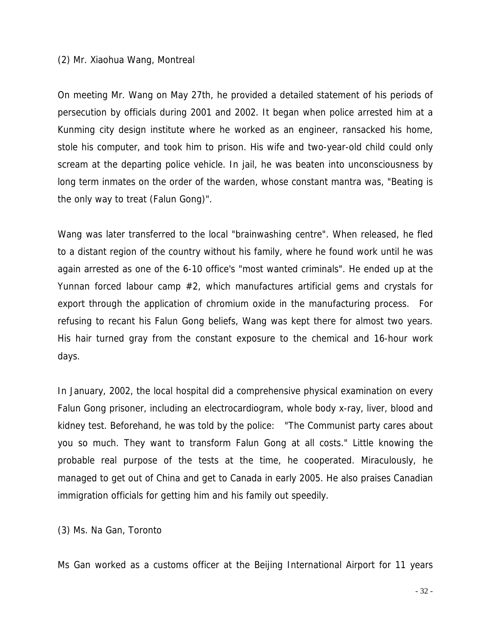#### (2) Mr. Xiaohua Wang, Montreal

On meeting Mr. Wang on May 27th, he provided a detailed statement of his periods of persecution by officials during 2001 and 2002. It began when police arrested him at a Kunming city design institute where he worked as an engineer, ransacked his home, stole his computer, and took him to prison. His wife and two-year-old child could only scream at the departing police vehicle. In jail, he was beaten into unconsciousness by long term inmates on the order of the warden, whose constant mantra was, "Beating is the only way to treat (Falun Gong)".

Wang was later transferred to the local "brainwashing centre". When released, he fled to a distant region of the country without his family, where he found work until he was again arrested as one of the 6-10 office's "most wanted criminals". He ended up at the Yunnan forced labour camp #2, which manufactures artificial gems and crystals for export through the application of chromium oxide in the manufacturing process. For refusing to recant his Falun Gong beliefs, Wang was kept there for almost two years. His hair turned gray from the constant exposure to the chemical and 16-hour work days.

In January, 2002, the local hospital did a comprehensive physical examination on every Falun Gong prisoner, including an electrocardiogram, whole body x-ray, liver, blood and kidney test. Beforehand, he was told by the police: "The Communist party cares about you so much. They want to transform Falun Gong at all costs." Little knowing the probable real purpose of the tests at the time, he cooperated. Miraculously, he managed to get out of China and get to Canada in early 2005. He also praises Canadian immigration officials for getting him and his family out speedily.

(3) Ms. Na Gan, Toronto

Ms Gan worked as a customs officer at the Beijing International Airport for 11 years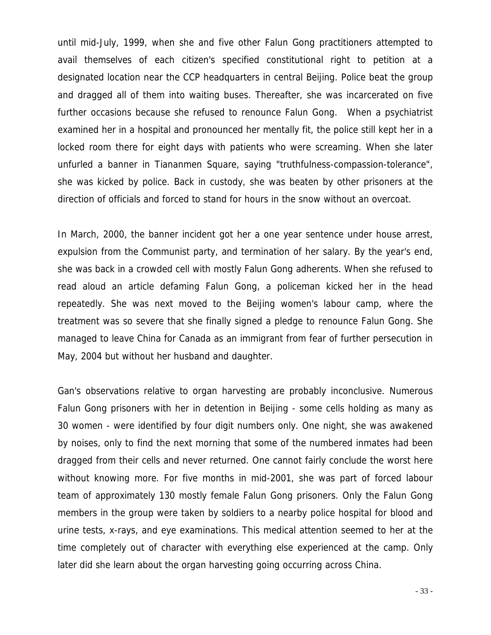until mid-July, 1999, when she and five other Falun Gong practitioners attempted to avail themselves of each citizen's specified constitutional right to petition at a designated location near the CCP headquarters in central Beijing. Police beat the group and dragged all of them into waiting buses. Thereafter, she was incarcerated on five further occasions because she refused to renounce Falun Gong. When a psychiatrist examined her in a hospital and pronounced her mentally fit, the police still kept her in a locked room there for eight days with patients who were screaming. When she later unfurled a banner in Tiananmen Square, saying "truthfulness-compassion-tolerance", she was kicked by police. Back in custody, she was beaten by other prisoners at the direction of officials and forced to stand for hours in the snow without an overcoat.

In March, 2000, the banner incident got her a one year sentence under house arrest, expulsion from the Communist party, and termination of her salary. By the year's end, she was back in a crowded cell with mostly Falun Gong adherents. When she refused to read aloud an article defaming Falun Gong, a policeman kicked her in the head repeatedly. She was next moved to the Beijing women's labour camp, where the treatment was so severe that she finally signed a pledge to renounce Falun Gong. She managed to leave China for Canada as an immigrant from fear of further persecution in May, 2004 but without her husband and daughter.

Gan's observations relative to organ harvesting are probably inconclusive. Numerous Falun Gong prisoners with her in detention in Beijing - some cells holding as many as 30 women - were identified by four digit numbers only. One night, she was awakened by noises, only to find the next morning that some of the numbered inmates had been dragged from their cells and never returned. One cannot fairly conclude the worst here without knowing more. For five months in mid-2001, she was part of forced labour team of approximately 130 mostly female Falun Gong prisoners. Only the Falun Gong members in the group were taken by soldiers to a nearby police hospital for blood and urine tests, x-rays, and eye examinations. This medical attention seemed to her at the time completely out of character with everything else experienced at the camp. Only later did she learn about the organ harvesting going occurring across China.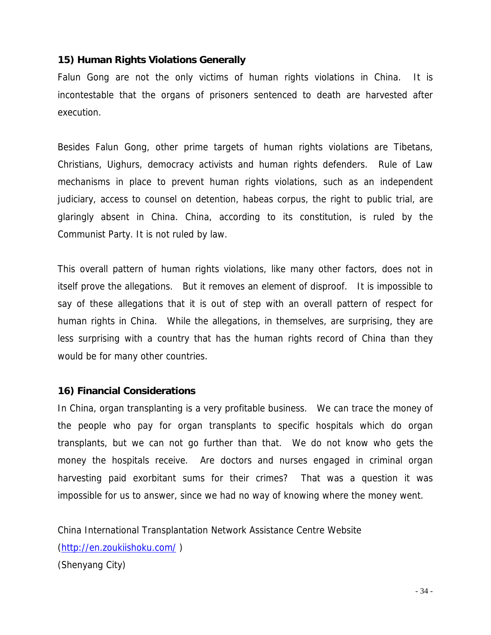## **15) Human Rights Violations Generally**

Falun Gong are not the only victims of human rights violations in China. It is incontestable that the organs of prisoners sentenced to death are harvested after execution.

Besides Falun Gong, other prime targets of human rights violations are Tibetans, Christians, Uighurs, democracy activists and human rights defenders. Rule of Law mechanisms in place to prevent human rights violations, such as an independent judiciary, access to counsel on detention, habeas corpus, the right to public trial, are glaringly absent in China. China, according to its constitution, is ruled by the Communist Party. It is not ruled by law.

This overall pattern of human rights violations, like many other factors, does not in itself prove the allegations. But it removes an element of disproof. It is impossible to say of these allegations that it is out of step with an overall pattern of respect for human rights in China. While the allegations, in themselves, are surprising, they are less surprising with a country that has the human rights record of China than they would be for many other countries.

### **16) Financial Considerations**

In China, organ transplanting is a very profitable business. We can trace the money of the people who pay for organ transplants to specific hospitals which do organ transplants, but we can not go further than that. We do not know who gets the money the hospitals receive. Are doctors and nurses engaged in criminal organ harvesting paid exorbitant sums for their crimes? That was a question it was impossible for us to answer, since we had no way of knowing where the money went.

China International Transplantation Network Assistance Centre Website (http://en.zoukiishoku.com/ ) (Shenyang City)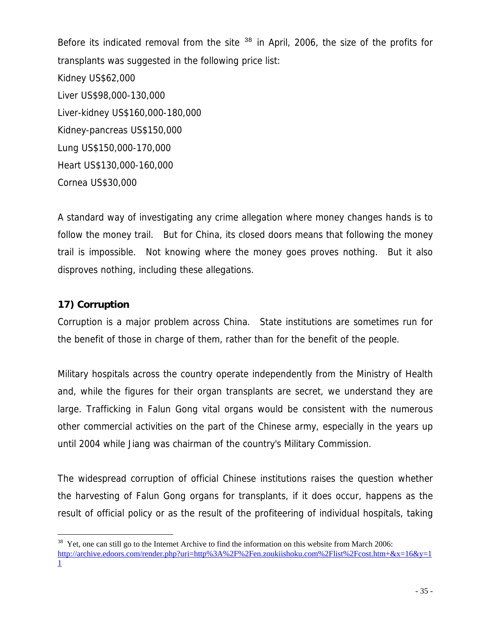Before its indicated removal from the site  $38$  in April, 2006, the size of the profits for transplants was suggested in the following price list: Kidney US\$62,000 Liver US\$98,000-130,000 Liver-kidney US\$160,000-180,000 Kidney-pancreas US\$150,000 Lung US\$150,000-170,000 Heart US\$130,000-160,000 Cornea US\$30,000

A standard way of investigating any crime allegation where money changes hands is to follow the money trail. But for China, its closed doors means that following the money trail is impossible. Not knowing where the money goes proves nothing. But it also disproves nothing, including these allegations.

## **17) Corruption**

 $\overline{\phantom{0}}$ 

Corruption is a major problem across China. State institutions are sometimes run for the benefit of those in charge of them, rather than for the benefit of the people.

Military hospitals across the country operate independently from the Ministry of Health and, while the figures for their organ transplants are secret, we understand they are large. Trafficking in Falun Gong vital organs would be consistent with the numerous other commercial activities on the part of the Chinese army, especially in the years up until 2004 while Jiang was chairman of the country's Military Commission.

The widespread corruption of official Chinese institutions raises the question whether the harvesting of Falun Gong organs for transplants, if it does occur, happens as the result of official policy or as the result of the profiteering of individual hospitals, taking

 $38$  Yet, one can still go to the Internet Archive to find the information on this website from March 2006: http://archive.edoors.com/render.php?uri=http%3A%2F%2Fen.zoukiishoku.com%2Flist%2Fcost.htm+&x=16&y=1 1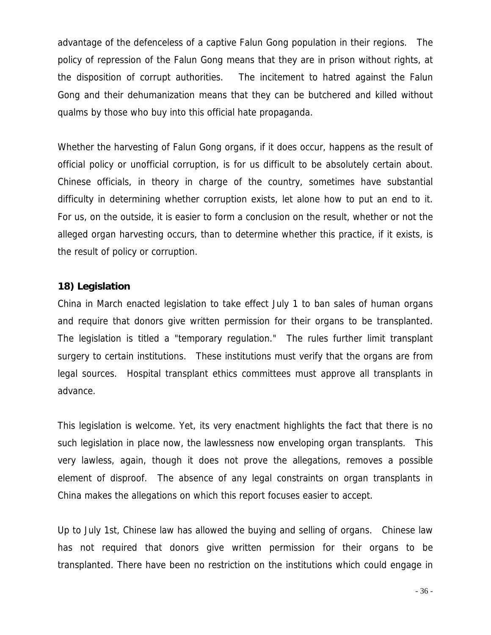advantage of the defenceless of a captive Falun Gong population in their regions. The policy of repression of the Falun Gong means that they are in prison without rights, at the disposition of corrupt authorities. The incitement to hatred against the Falun Gong and their dehumanization means that they can be butchered and killed without qualms by those who buy into this official hate propaganda.

Whether the harvesting of Falun Gong organs, if it does occur, happens as the result of official policy or unofficial corruption, is for us difficult to be absolutely certain about. Chinese officials, in theory in charge of the country, sometimes have substantial difficulty in determining whether corruption exists, let alone how to put an end to it. For us, on the outside, it is easier to form a conclusion on the result, whether or not the alleged organ harvesting occurs, than to determine whether this practice, if it exists, is the result of policy or corruption.

#### **18) Legislation**

China in March enacted legislation to take effect July 1 to ban sales of human organs and require that donors give written permission for their organs to be transplanted. The legislation is titled a "temporary regulation." The rules further limit transplant surgery to certain institutions. These institutions must verify that the organs are from legal sources. Hospital transplant ethics committees must approve all transplants in advance.

This legislation is welcome. Yet, its very enactment highlights the fact that there is no such legislation in place now, the lawlessness now enveloping organ transplants. This very lawless, again, though it does not prove the allegations, removes a possible element of disproof. The absence of any legal constraints on organ transplants in China makes the allegations on which this report focuses easier to accept.

Up to July 1st, Chinese law has allowed the buying and selling of organs. Chinese law has not required that donors give written permission for their organs to be transplanted. There have been no restriction on the institutions which could engage in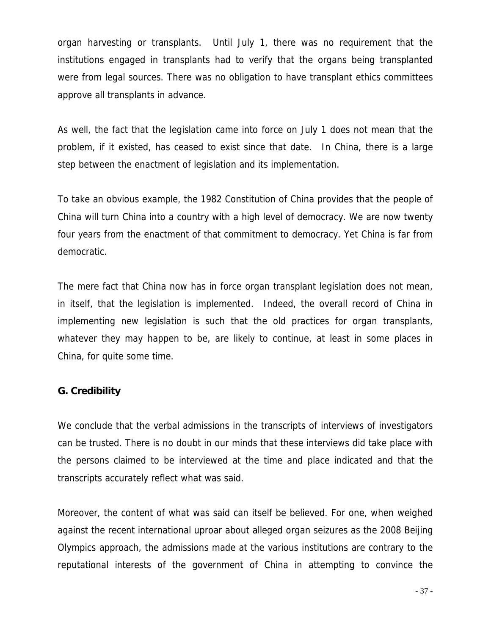organ harvesting or transplants. Until July 1, there was no requirement that the institutions engaged in transplants had to verify that the organs being transplanted were from legal sources. There was no obligation to have transplant ethics committees approve all transplants in advance.

As well, the fact that the legislation came into force on July 1 does not mean that the problem, if it existed, has ceased to exist since that date. In China, there is a large step between the enactment of legislation and its implementation.

To take an obvious example, the 1982 Constitution of China provides that the people of China will turn China into a country with a high level of democracy. We are now twenty four years from the enactment of that commitment to democracy. Yet China is far from democratic.

The mere fact that China now has in force organ transplant legislation does not mean, in itself, that the legislation is implemented. Indeed, the overall record of China in implementing new legislation is such that the old practices for organ transplants, whatever they may happen to be, are likely to continue, at least in some places in China, for quite some time.

### **G. Credibility**

We conclude that the verbal admissions in the transcripts of interviews of investigators can be trusted. There is no doubt in our minds that these interviews did take place with the persons claimed to be interviewed at the time and place indicated and that the transcripts accurately reflect what was said.

Moreover, the content of what was said can itself be believed. For one, when weighed against the recent international uproar about alleged organ seizures as the 2008 Beijing Olympics approach, the admissions made at the various institutions are contrary to the reputational interests of the government of China in attempting to convince the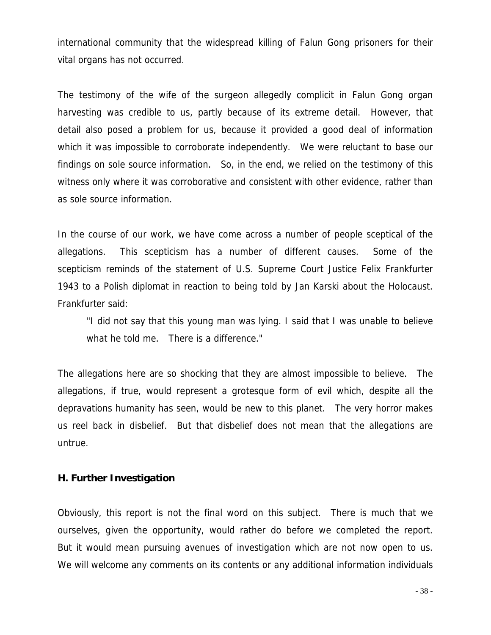international community that the widespread killing of Falun Gong prisoners for their vital organs has not occurred.

The testimony of the wife of the surgeon allegedly complicit in Falun Gong organ harvesting was credible to us, partly because of its extreme detail. However, that detail also posed a problem for us, because it provided a good deal of information which it was impossible to corroborate independently. We were reluctant to base our findings on sole source information. So, in the end, we relied on the testimony of this witness only where it was corroborative and consistent with other evidence, rather than as sole source information.

In the course of our work, we have come across a number of people sceptical of the allegations. This scepticism has a number of different causes. Some of the scepticism reminds of the statement of U.S. Supreme Court Justice Felix Frankfurter 1943 to a Polish diplomat in reaction to being told by Jan Karski about the Holocaust. Frankfurter said:

 "I did not say that this young man was lying. I said that I was unable to believe what he told me. There is a difference."

The allegations here are so shocking that they are almost impossible to believe. The allegations, if true, would represent a grotesque form of evil which, despite all the depravations humanity has seen, would be new to this planet. The very horror makes us reel back in disbelief. But that disbelief does not mean that the allegations are untrue.

#### **H. Further Investigation**

Obviously, this report is not the final word on this subject. There is much that we ourselves, given the opportunity, would rather do before we completed the report. But it would mean pursuing avenues of investigation which are not now open to us. We will welcome any comments on its contents or any additional information individuals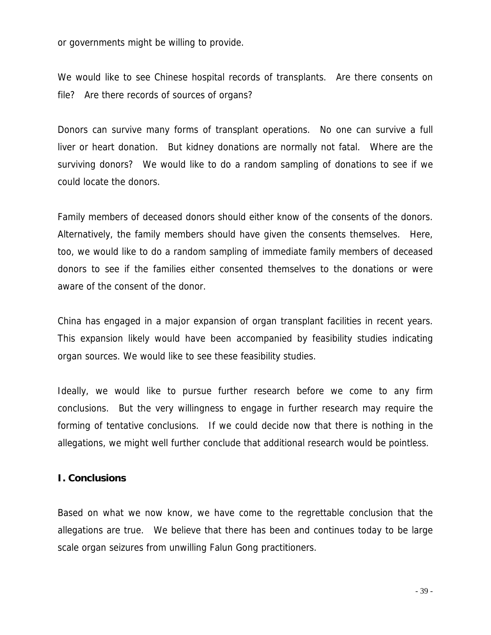or governments might be willing to provide.

We would like to see Chinese hospital records of transplants. Are there consents on file? Are there records of sources of organs?

Donors can survive many forms of transplant operations. No one can survive a full liver or heart donation. But kidney donations are normally not fatal. Where are the surviving donors? We would like to do a random sampling of donations to see if we could locate the donors.

Family members of deceased donors should either know of the consents of the donors. Alternatively, the family members should have given the consents themselves. Here, too, we would like to do a random sampling of immediate family members of deceased donors to see if the families either consented themselves to the donations or were aware of the consent of the donor.

China has engaged in a major expansion of organ transplant facilities in recent years. This expansion likely would have been accompanied by feasibility studies indicating organ sources. We would like to see these feasibility studies.

Ideally, we would like to pursue further research before we come to any firm conclusions. But the very willingness to engage in further research may require the forming of tentative conclusions. If we could decide now that there is nothing in the allegations, we might well further conclude that additional research would be pointless.

#### **I. Conclusions**

Based on what we now know, we have come to the regrettable conclusion that the allegations are true. We believe that there has been and continues today to be large scale organ seizures from unwilling Falun Gong practitioners.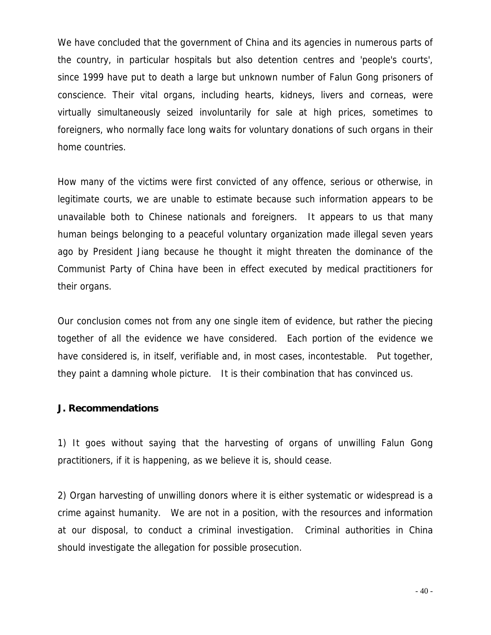We have concluded that the government of China and its agencies in numerous parts of the country, in particular hospitals but also detention centres and 'people's courts', since 1999 have put to death a large but unknown number of Falun Gong prisoners of conscience. Their vital organs, including hearts, kidneys, livers and corneas, were virtually simultaneously seized involuntarily for sale at high prices, sometimes to foreigners, who normally face long waits for voluntary donations of such organs in their home countries.

How many of the victims were first convicted of any offence, serious or otherwise, in legitimate courts, we are unable to estimate because such information appears to be unavailable both to Chinese nationals and foreigners. It appears to us that many human beings belonging to a peaceful voluntary organization made illegal seven years ago by President Jiang because he thought it might threaten the dominance of the Communist Party of China have been in effect executed by medical practitioners for their organs.

Our conclusion comes not from any one single item of evidence, but rather the piecing together of all the evidence we have considered. Each portion of the evidence we have considered is, in itself, verifiable and, in most cases, incontestable. Put together, they paint a damning whole picture. It is their combination that has convinced us.

### **J. Recommendations**

1) It goes without saying that the harvesting of organs of unwilling Falun Gong practitioners, if it is happening, as we believe it is, should cease.

2) Organ harvesting of unwilling donors where it is either systematic or widespread is a crime against humanity. We are not in a position, with the resources and information at our disposal, to conduct a criminal investigation. Criminal authorities in China should investigate the allegation for possible prosecution.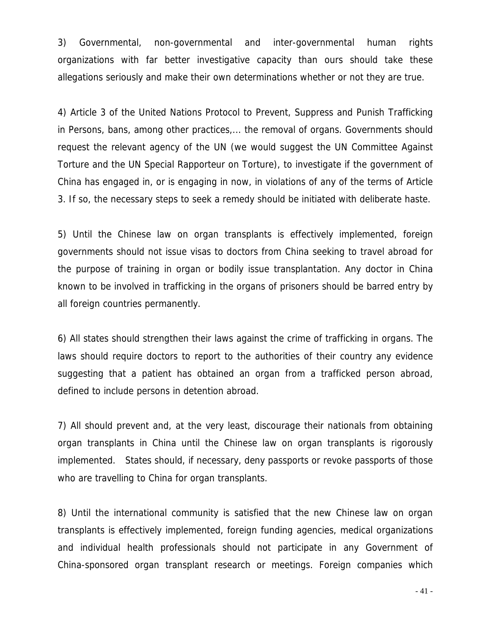3) Governmental, non-governmental and inter-governmental human rights organizations with far better investigative capacity than ours should take these allegations seriously and make their own determinations whether or not they are true.

4) Article 3 of the United Nations Protocol to Prevent, Suppress and Punish Trafficking in Persons, bans, among other practices,... the removal of organs. Governments should request the relevant agency of the UN (we would suggest the UN Committee Against Torture and the UN Special Rapporteur on Torture), to investigate if the government of China has engaged in, or is engaging in now, in violations of any of the terms of Article 3. If so, the necessary steps to seek a remedy should be initiated with deliberate haste.

5) Until the Chinese law on organ transplants is effectively implemented, foreign governments should not issue visas to doctors from China seeking to travel abroad for the purpose of training in organ or bodily issue transplantation. Any doctor in China known to be involved in trafficking in the organs of prisoners should be barred entry by all foreign countries permanently.

6) All states should strengthen their laws against the crime of trafficking in organs. The laws should require doctors to report to the authorities of their country any evidence suggesting that a patient has obtained an organ from a trafficked person abroad, defined to include persons in detention abroad.

7) All should prevent and, at the very least, discourage their nationals from obtaining organ transplants in China until the Chinese law on organ transplants is rigorously implemented. States should, if necessary, deny passports or revoke passports of those who are travelling to China for organ transplants.

8) Until the international community is satisfied that the new Chinese law on organ transplants is effectively implemented, foreign funding agencies, medical organizations and individual health professionals should not participate in any Government of China-sponsored organ transplant research or meetings. Foreign companies which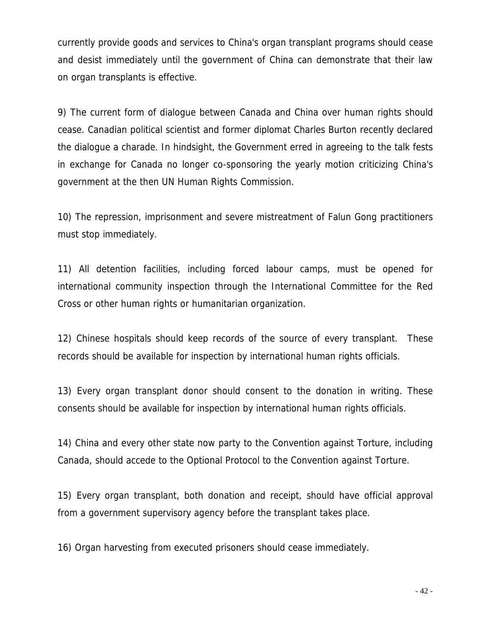currently provide goods and services to China's organ transplant programs should cease and desist immediately until the government of China can demonstrate that their law on organ transplants is effective.

9) The current form of dialogue between Canada and China over human rights should cease. Canadian political scientist and former diplomat Charles Burton recently declared the dialogue a charade. In hindsight, the Government erred in agreeing to the talk fests in exchange for Canada no longer co-sponsoring the yearly motion criticizing China's government at the then UN Human Rights Commission.

10) The repression, imprisonment and severe mistreatment of Falun Gong practitioners must stop immediately.

11) All detention facilities, including forced labour camps, must be opened for international community inspection through the International Committee for the Red Cross or other human rights or humanitarian organization.

12) Chinese hospitals should keep records of the source of every transplant. These records should be available for inspection by international human rights officials.

13) Every organ transplant donor should consent to the donation in writing. These consents should be available for inspection by international human rights officials.

14) China and every other state now party to the Convention against Torture, including Canada, should accede to the Optional Protocol to the Convention against Torture.

15) Every organ transplant, both donation and receipt, should have official approval from a government supervisory agency before the transplant takes place.

16) Organ harvesting from executed prisoners should cease immediately.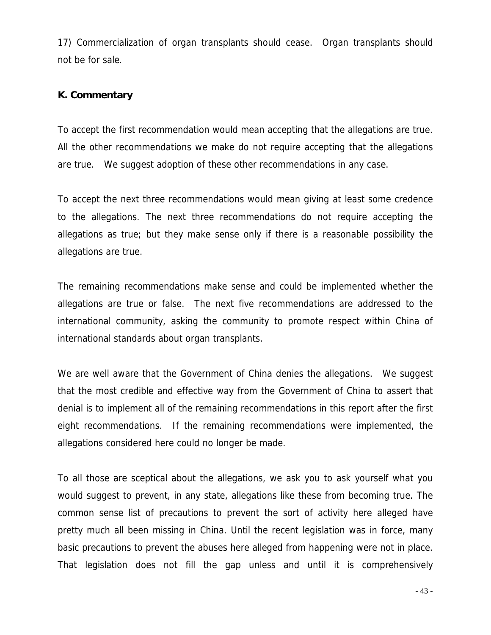17) Commercialization of organ transplants should cease. Organ transplants should not be for sale.

## **K. Commentary**

To accept the first recommendation would mean accepting that the allegations are true. All the other recommendations we make do not require accepting that the allegations are true. We suggest adoption of these other recommendations in any case.

To accept the next three recommendations would mean giving at least some credence to the allegations. The next three recommendations do not require accepting the allegations as true; but they make sense only if there is a reasonable possibility the allegations are true.

The remaining recommendations make sense and could be implemented whether the allegations are true or false. The next five recommendations are addressed to the international community, asking the community to promote respect within China of international standards about organ transplants.

We are well aware that the Government of China denies the allegations. We suggest that the most credible and effective way from the Government of China to assert that denial is to implement all of the remaining recommendations in this report after the first eight recommendations. If the remaining recommendations were implemented, the allegations considered here could no longer be made.

To all those are sceptical about the allegations, we ask you to ask yourself what you would suggest to prevent, in any state, allegations like these from becoming true. The common sense list of precautions to prevent the sort of activity here alleged have pretty much all been missing in China. Until the recent legislation was in force, many basic precautions to prevent the abuses here alleged from happening were not in place. That legislation does not fill the gap unless and until it is comprehensively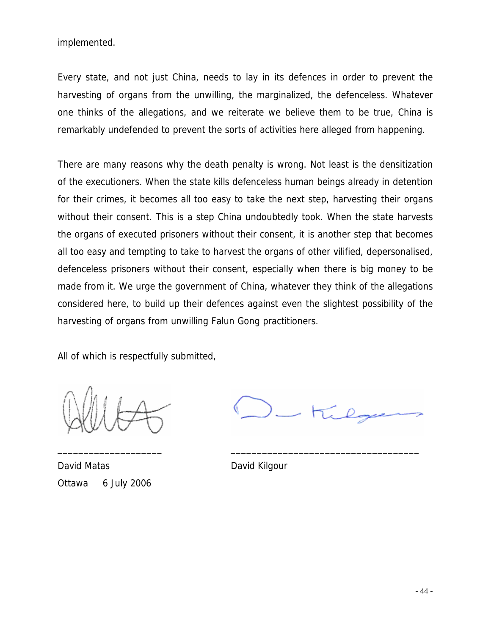implemented.

Every state, and not just China, needs to lay in its defences in order to prevent the harvesting of organs from the unwilling, the marginalized, the defenceless. Whatever one thinks of the allegations, and we reiterate we believe them to be true, China is remarkably undefended to prevent the sorts of activities here alleged from happening.

There are many reasons why the death penalty is wrong. Not least is the densitization of the executioners. When the state kills defenceless human beings already in detention for their crimes, it becomes all too easy to take the next step, harvesting their organs without their consent. This is a step China undoubtedly took. When the state harvests the organs of executed prisoners without their consent, it is another step that becomes all too easy and tempting to take to harvest the organs of other vilified, depersonalised, defenceless prisoners without their consent, especially when there is big money to be made from it. We urge the government of China, whatever they think of the allegations considered here, to build up their defences against even the slightest possibility of the harvesting of organs from unwilling Falun Gong practitioners.

All of which is respectfully submitted,

David Matas **David Kilgour** Ottawa 6 July 2006

 $L$  tilge

\_\_\_\_\_\_\_\_\_\_\_\_\_\_\_\_\_\_\_\_ \_\_\_\_\_\_\_\_\_\_\_\_\_\_\_\_\_\_\_\_\_\_\_\_\_\_\_\_\_\_\_\_\_\_\_\_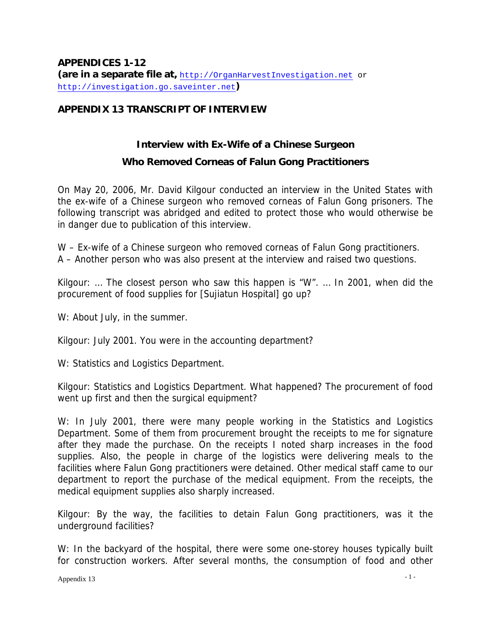## **APPENDIX 13 TRANSCRIPT OF INTERVIEW**

## **Interview with Ex-Wife of a Chinese Surgeon**

## **Who Removed Corneas of Falun Gong Practitioners**

On May 20, 2006, Mr. David Kilgour conducted an interview in the United States with the ex-wife of a Chinese surgeon who removed corneas of Falun Gong prisoners. The following transcript was abridged and edited to protect those who would otherwise be in danger due to publication of this interview.

W – Ex-wife of a Chinese surgeon who removed corneas of Falun Gong practitioners. A – Another person who was also present at the interview and raised two questions.

Kilgour: … The closest person who saw this happen is "W". … In 2001, when did the procurement of food supplies for [Sujiatun Hospital] go up?

W: About July, in the summer.

Kilgour: July 2001. You were in the accounting department?

W: Statistics and Logistics Department.

Kilgour: Statistics and Logistics Department. What happened? The procurement of food went up first and then the surgical equipment?

W: In July 2001, there were many people working in the Statistics and Logistics Department. Some of them from procurement brought the receipts to me for signature after they made the purchase. On the receipts I noted sharp increases in the food supplies. Also, the people in charge of the logistics were delivering meals to the facilities where Falun Gong practitioners were detained. Other medical staff came to our department to report the purchase of the medical equipment. From the receipts, the medical equipment supplies also sharply increased.

Kilgour: By the way, the facilities to detain Falun Gong practitioners, was it the underground facilities?

W: In the backyard of the hospital, there were some one-storey houses typically built for construction workers. After several months, the consumption of food and other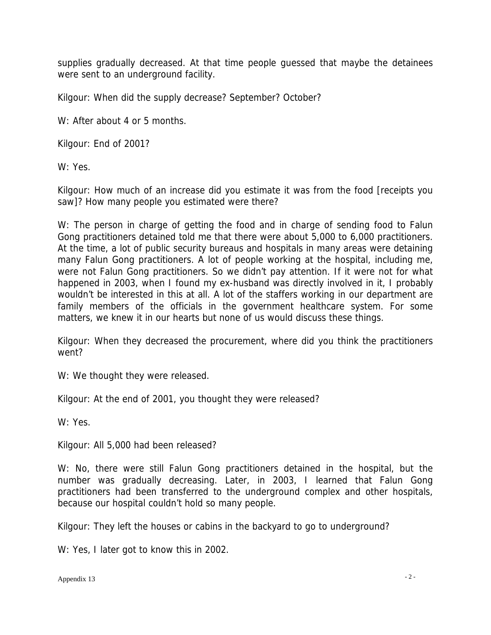supplies gradually decreased. At that time people guessed that maybe the detainees were sent to an underground facility.

Kilgour: When did the supply decrease? September? October?

W: After about 4 or 5 months.

Kilgour: End of 2001?

W: Yes.

Kilgour: How much of an increase did you estimate it was from the food [receipts you saw]? How many people you estimated were there?

W: The person in charge of getting the food and in charge of sending food to Falun Gong practitioners detained told me that there were about 5,000 to 6,000 practitioners. At the time, a lot of public security bureaus and hospitals in many areas were detaining many Falun Gong practitioners. A lot of people working at the hospital, including me, were not Falun Gong practitioners. So we didn't pay attention. If it were not for what happened in 2003, when I found my ex-husband was directly involved in it, I probably wouldn't be interested in this at all. A lot of the staffers working in our department are family members of the officials in the government healthcare system. For some matters, we knew it in our hearts but none of us would discuss these things.

Kilgour: When they decreased the procurement, where did you think the practitioners went?

W: We thought they were released.

Kilgour: At the end of 2001, you thought they were released?

W: Yes.

Kilgour: All 5,000 had been released?

W: No, there were still Falun Gong practitioners detained in the hospital, but the number was gradually decreasing. Later, in 2003, I learned that Falun Gong practitioners had been transferred to the underground complex and other hospitals, because our hospital couldn't hold so many people.

Kilgour: They left the houses or cabins in the backyard to go to underground?

W: Yes, I later got to know this in 2002.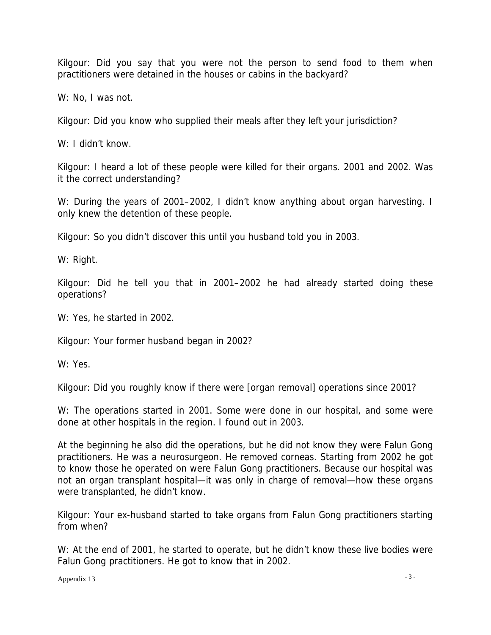Kilgour: Did you say that you were not the person to send food to them when practitioners were detained in the houses or cabins in the backyard?

W: No, I was not.

Kilgour: Did you know who supplied their meals after they left your jurisdiction?

W: I didn't know.

Kilgour: I heard a lot of these people were killed for their organs. 2001 and 2002. Was it the correct understanding?

W: During the years of 2001–2002, I didn't know anything about organ harvesting. I only knew the detention of these people.

Kilgour: So you didn't discover this until you husband told you in 2003.

W: Right.

Kilgour: Did he tell you that in 2001–2002 he had already started doing these operations?

W: Yes, he started in 2002.

Kilgour: Your former husband began in 2002?

W: Yes.

Kilgour: Did you roughly know if there were [organ removal] operations since 2001?

W: The operations started in 2001. Some were done in our hospital, and some were done at other hospitals in the region. I found out in 2003.

At the beginning he also did the operations, but he did not know they were Falun Gong practitioners. He was a neurosurgeon. He removed corneas. Starting from 2002 he got to know those he operated on were Falun Gong practitioners. Because our hospital was not an organ transplant hospital—it was only in charge of removal—how these organs were transplanted, he didn't know.

Kilgour: Your ex-husband started to take organs from Falun Gong practitioners starting from when?

W: At the end of 2001, he started to operate, but he didn't know these live bodies were Falun Gong practitioners. He got to know that in 2002.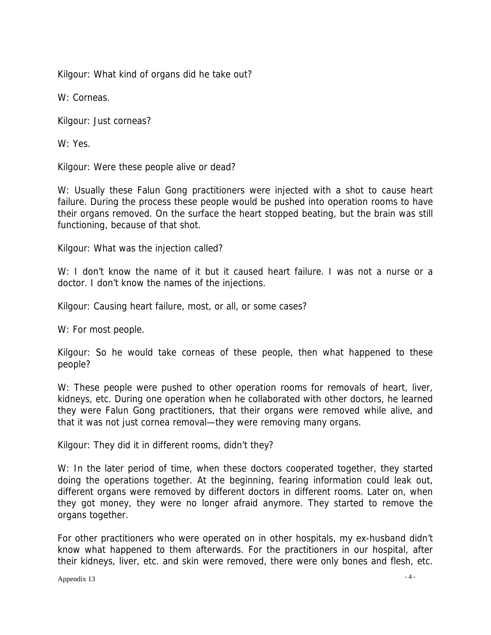Kilgour: What kind of organs did he take out?

W: Corneas.

Kilgour: Just corneas?

W: Yes.

Kilgour: Were these people alive or dead?

W: Usually these Falun Gong practitioners were injected with a shot to cause heart failure. During the process these people would be pushed into operation rooms to have their organs removed. On the surface the heart stopped beating, but the brain was still functioning, because of that shot.

Kilgour: What was the injection called?

W: I don't know the name of it but it caused heart failure. I was not a nurse or a doctor. I don't know the names of the injections.

Kilgour: Causing heart failure, most, or all, or some cases?

W: For most people.

Kilgour: So he would take corneas of these people, then what happened to these people?

W: These people were pushed to other operation rooms for removals of heart, liver, kidneys, etc. During one operation when he collaborated with other doctors, he learned they were Falun Gong practitioners, that their organs were removed while alive, and that it was not just cornea removal—they were removing many organs.

Kilgour: They did it in different rooms, didn't they?

W: In the later period of time, when these doctors cooperated together, they started doing the operations together. At the beginning, fearing information could leak out, different organs were removed by different doctors in different rooms. Later on, when they got money, they were no longer afraid anymore. They started to remove the organs together.

For other practitioners who were operated on in other hospitals, my ex-husband didn't know what happened to them afterwards. For the practitioners in our hospital, after their kidneys, liver, etc. and skin were removed, there were only bones and flesh, etc.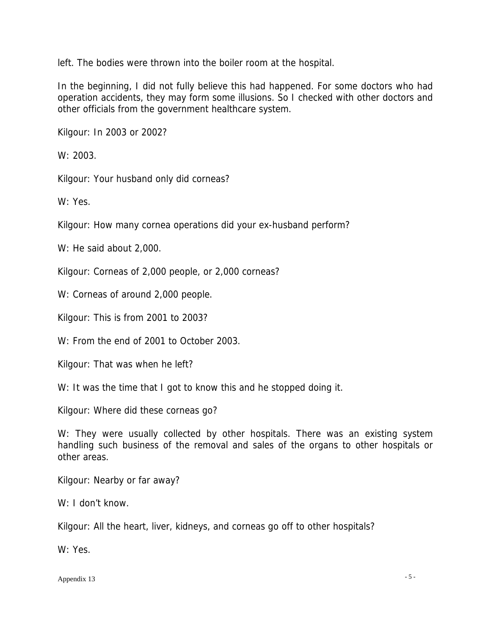left. The bodies were thrown into the boiler room at the hospital.

In the beginning, I did not fully believe this had happened. For some doctors who had operation accidents, they may form some illusions. So I checked with other doctors and other officials from the government healthcare system.

Kilgour: In 2003 or 2002?

W: 2003.

Kilgour: Your husband only did corneas?

W: Yes.

Kilgour: How many cornea operations did your ex-husband perform?

W: He said about 2,000.

Kilgour: Corneas of 2,000 people, or 2,000 corneas?

W: Corneas of around 2,000 people.

Kilgour: This is from 2001 to 2003?

W: From the end of 2001 to October 2003.

Kilgour: That was when he left?

W: It was the time that I got to know this and he stopped doing it.

Kilgour: Where did these corneas go?

W: They were usually collected by other hospitals. There was an existing system handling such business of the removal and sales of the organs to other hospitals or other areas.

Kilgour: Nearby or far away?

W: I don't know.

Kilgour: All the heart, liver, kidneys, and corneas go off to other hospitals?

W: Yes.

Appendix 13 - 5 -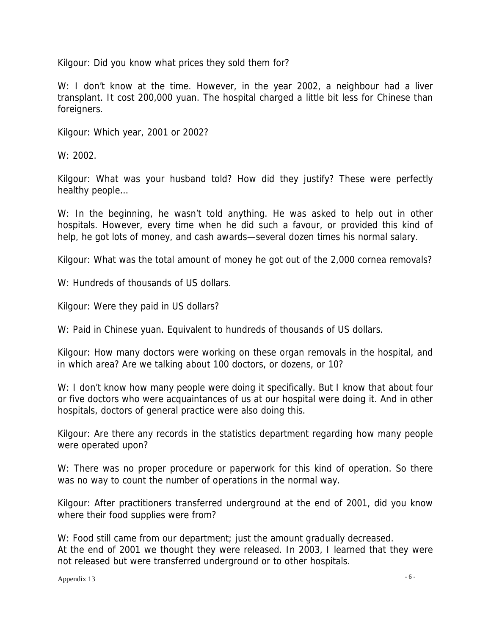Kilgour: Did you know what prices they sold them for?

W: I don't know at the time. However, in the year 2002, a neighbour had a liver transplant. It cost 200,000 yuan. The hospital charged a little bit less for Chinese than foreigners.

Kilgour: Which year, 2001 or 2002?

W: 2002.

Kilgour: What was your husband told? How did they justify? These were perfectly healthy people…

W: In the beginning, he wasn't told anything. He was asked to help out in other hospitals. However, every time when he did such a favour, or provided this kind of help, he got lots of money, and cash awards—several dozen times his normal salary.

Kilgour: What was the total amount of money he got out of the 2,000 cornea removals?

W: Hundreds of thousands of US dollars.

Kilgour: Were they paid in US dollars?

W: Paid in Chinese yuan. Equivalent to hundreds of thousands of US dollars.

Kilgour: How many doctors were working on these organ removals in the hospital, and in which area? Are we talking about 100 doctors, or dozens, or 10?

W: I don't know how many people were doing it specifically. But I know that about four or five doctors who were acquaintances of us at our hospital were doing it. And in other hospitals, doctors of general practice were also doing this.

Kilgour: Are there any records in the statistics department regarding how many people were operated upon?

W: There was no proper procedure or paperwork for this kind of operation. So there was no way to count the number of operations in the normal way.

Kilgour: After practitioners transferred underground at the end of 2001, did you know where their food supplies were from?

W: Food still came from our department; just the amount gradually decreased. At the end of 2001 we thought they were released. In 2003, I learned that they were not released but were transferred underground or to other hospitals.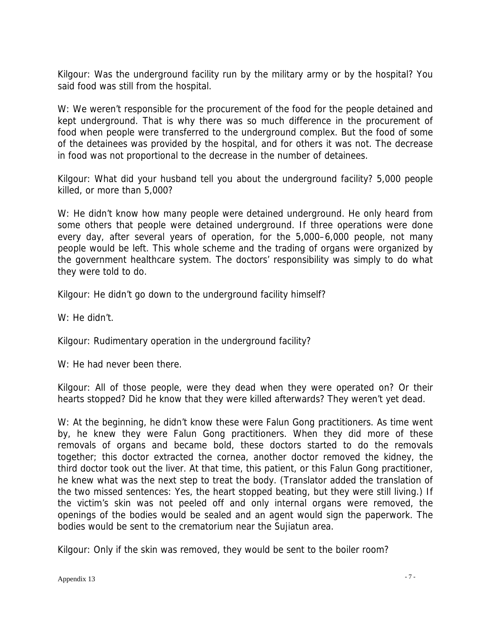Kilgour: Was the underground facility run by the military army or by the hospital? You said food was still from the hospital.

W: We weren't responsible for the procurement of the food for the people detained and kept underground. That is why there was so much difference in the procurement of food when people were transferred to the underground complex. But the food of some of the detainees was provided by the hospital, and for others it was not. The decrease in food was not proportional to the decrease in the number of detainees.

Kilgour: What did your husband tell you about the underground facility? 5,000 people killed, or more than 5,000?

W: He didn't know how many people were detained underground. He only heard from some others that people were detained underground. If three operations were done every day, after several years of operation, for the 5,000–6,000 people, not many people would be left. This whole scheme and the trading of organs were organized by the government healthcare system. The doctors' responsibility was simply to do what they were told to do.

Kilgour: He didn't go down to the underground facility himself?

W: He didn't.

Kilgour: Rudimentary operation in the underground facility?

W: He had never been there.

Kilgour: All of those people, were they dead when they were operated on? Or their hearts stopped? Did he know that they were killed afterwards? They weren't yet dead.

W: At the beginning, he didn't know these were Falun Gong practitioners. As time went by, he knew they were Falun Gong practitioners. When they did more of these removals of organs and became bold, these doctors started to do the removals together; this doctor extracted the cornea, another doctor removed the kidney, the third doctor took out the liver. At that time, this patient, or this Falun Gong practitioner, he knew what was the next step to treat the body. (Translator added the translation of the two missed sentences: Yes, the heart stopped beating, but they were still living.) If the victim's skin was not peeled off and only internal organs were removed, the openings of the bodies would be sealed and an agent would sign the paperwork. The bodies would be sent to the crematorium near the Sujiatun area.

Kilgour: Only if the skin was removed, they would be sent to the boiler room?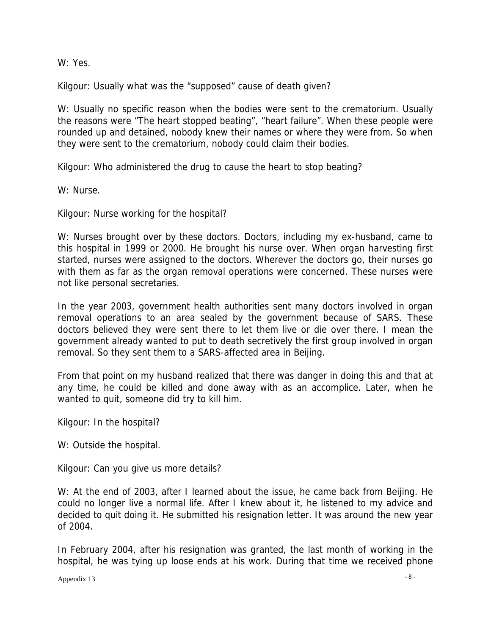W: Yes.

Kilgour: Usually what was the "supposed" cause of death given?

W: Usually no specific reason when the bodies were sent to the crematorium. Usually the reasons were "The heart stopped beating", "heart failure". When these people were rounded up and detained, nobody knew their names or where they were from. So when they were sent to the crematorium, nobody could claim their bodies.

Kilgour: Who administered the drug to cause the heart to stop beating?

W: Nurse.

Kilgour: Nurse working for the hospital?

W: Nurses brought over by these doctors. Doctors, including my ex-husband, came to this hospital in 1999 or 2000. He brought his nurse over. When organ harvesting first started, nurses were assigned to the doctors. Wherever the doctors go, their nurses go with them as far as the organ removal operations were concerned. These nurses were not like personal secretaries.

In the year 2003, government health authorities sent many doctors involved in organ removal operations to an area sealed by the government because of SARS. These doctors believed they were sent there to let them live or die over there. I mean the government already wanted to put to death secretively the first group involved in organ removal. So they sent them to a SARS-affected area in Beijing.

From that point on my husband realized that there was danger in doing this and that at any time, he could be killed and done away with as an accomplice. Later, when he wanted to quit, someone did try to kill him.

Kilgour: In the hospital?

W: Outside the hospital.

Kilgour: Can you give us more details?

W: At the end of 2003, after I learned about the issue, he came back from Beijing. He could no longer live a normal life. After I knew about it, he listened to my advice and decided to quit doing it. He submitted his resignation letter. It was around the new year of 2004.

In February 2004, after his resignation was granted, the last month of working in the hospital, he was tying up loose ends at his work. During that time we received phone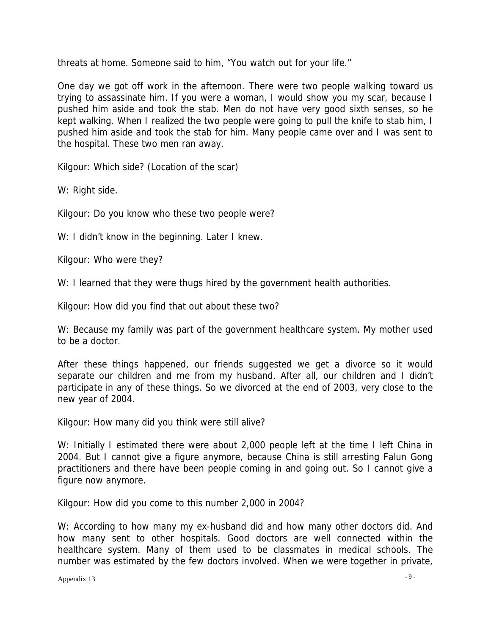threats at home. Someone said to him, "You watch out for your life."

One day we got off work in the afternoon. There were two people walking toward us trying to assassinate him. If you were a woman, I would show you my scar, because I pushed him aside and took the stab. Men do not have very good sixth senses, so he kept walking. When I realized the two people were going to pull the knife to stab him, I pushed him aside and took the stab for him. Many people came over and I was sent to the hospital. These two men ran away.

Kilgour: Which side? (Location of the scar)

W: Right side.

Kilgour: Do you know who these two people were?

W: I didn't know in the beginning. Later I knew.

Kilgour: Who were they?

W: I learned that they were thugs hired by the government health authorities.

Kilgour: How did you find that out about these two?

W: Because my family was part of the government healthcare system. My mother used to be a doctor.

After these things happened, our friends suggested we get a divorce so it would separate our children and me from my husband. After all, our children and I didn't participate in any of these things. So we divorced at the end of 2003, very close to the new year of 2004.

Kilgour: How many did you think were still alive?

W: Initially I estimated there were about 2,000 people left at the time I left China in 2004. But I cannot give a figure anymore, because China is still arresting Falun Gong practitioners and there have been people coming in and going out. So I cannot give a figure now anymore.

Kilgour: How did you come to this number 2,000 in 2004?

W: According to how many my ex-husband did and how many other doctors did. And how many sent to other hospitals. Good doctors are well connected within the healthcare system. Many of them used to be classmates in medical schools. The number was estimated by the few doctors involved. When we were together in private,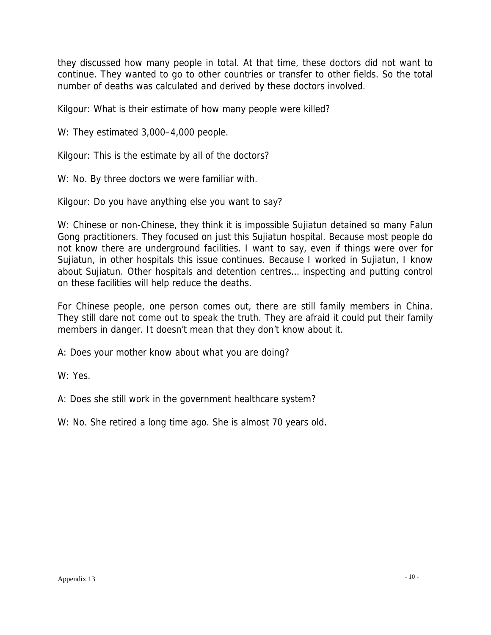they discussed how many people in total. At that time, these doctors did not want to continue. They wanted to go to other countries or transfer to other fields. So the total number of deaths was calculated and derived by these doctors involved.

Kilgour: What is their estimate of how many people were killed?

W: They estimated 3,000-4,000 people.

Kilgour: This is the estimate by all of the doctors?

W: No. By three doctors we were familiar with.

Kilgour: Do you have anything else you want to say?

W: Chinese or non-Chinese, they think it is impossible Sujiatun detained so many Falun Gong practitioners. They focused on just this Sujiatun hospital. Because most people do not know there are underground facilities. I want to say, even if things were over for Sujiatun, in other hospitals this issue continues. Because I worked in Sujiatun, I know about Sujiatun. Other hospitals and detention centres… inspecting and putting control on these facilities will help reduce the deaths.

For Chinese people, one person comes out, there are still family members in China. They still dare not come out to speak the truth. They are afraid it could put their family members in danger. It doesn't mean that they don't know about it.

A: Does your mother know about what you are doing?

W: Yes.

A: Does she still work in the government healthcare system?

W: No. She retired a long time ago. She is almost 70 years old.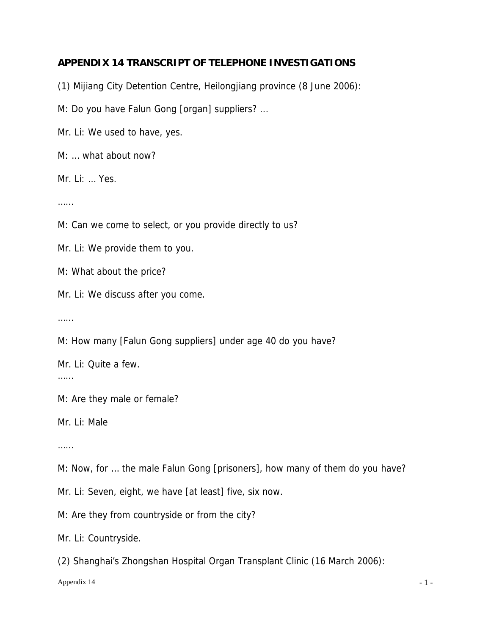## **APPENDIX 14 TRANSCRIPT OF TELEPHONE INVESTIGATIONS**

(1) Mijiang City Detention Centre, Heilongjiang province (8 June 2006):

M: Do you have Falun Gong [organ] suppliers? ...

Mr. Li: We used to have, yes.

M: … what about now?

Mr. Li: … Yes.

……

M: Can we come to select, or you provide directly to us?

Mr. Li: We provide them to you.

M: What about the price?

Mr. Li: We discuss after you come.

……

M: How many [Falun Gong suppliers] under age 40 do you have?

Mr. Li: Quite a few.

……

M: Are they male or female?

Mr. Li: Male

……

M: Now, for … the male Falun Gong [prisoners], how many of them do you have?

Mr. Li: Seven, eight, we have [at least] five, six now.

M: Are they from countryside or from the city?

Mr. Li: Countryside.

(2) Shanghai's Zhongshan Hospital Organ Transplant Clinic (16 March 2006):

Appendix 14  $-1$  -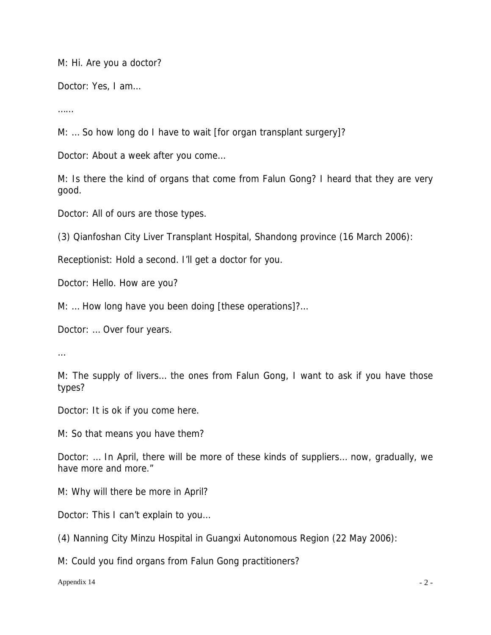M: Hi. Are you a doctor?

Doctor: Yes, I am…

……

M: ... So how long do I have to wait [for organ transplant surgery]?

Doctor: About a week after you come…

M: Is there the kind of organs that come from Falun Gong? I heard that they are very good.

Doctor: All of ours are those types.

(3) Qianfoshan City Liver Transplant Hospital, Shandong province (16 March 2006):

Receptionist: Hold a second. I'll get a doctor for you.

Doctor: Hello. How are you?

M: … How long have you been doing [these operations]?…

Doctor: … Over four years.

…

M: The supply of livers… the ones from Falun Gong, I want to ask if you have those types?

Doctor: It is ok if you come here.

M: So that means you have them?

Doctor: … In April, there will be more of these kinds of suppliers… now, gradually, we have more and more."

M: Why will there be more in April?

Doctor: This I can't explain to you…

(4) Nanning City Minzu Hospital in Guangxi Autonomous Region (22 May 2006):

M: Could you find organs from Falun Gong practitioners?

Appendix 14  $\sim$  2 -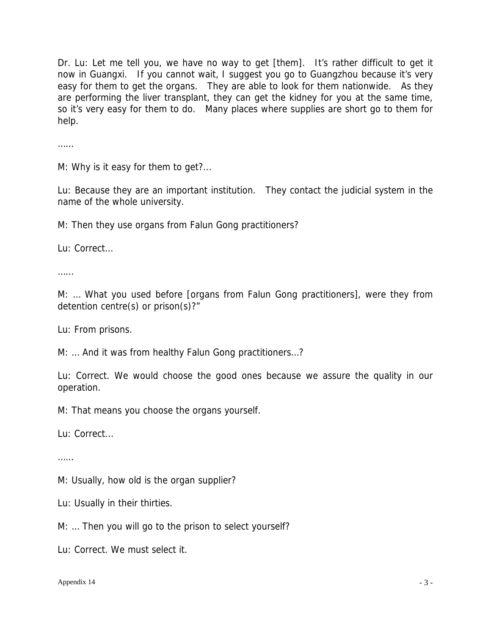Dr. Lu: Let me tell you, we have no way to get [them]. It's rather difficult to get it now in Guangxi. If you cannot wait, I suggest you go to Guangzhou because it's very easy for them to get the organs. They are able to look for them nationwide. As they are performing the liver transplant, they can get the kidney for you at the same time, so it's very easy for them to do. Many places where supplies are short go to them for help.

……

M: Why is it easy for them to get?...

Lu: Because they are an important institution. They contact the judicial system in the name of the whole university.

M: Then they use organs from Falun Gong practitioners?

Lu: Correct…

……

M: … What you used before [organs from Falun Gong practitioners], were they from detention centre(s) or prison(s)?"

Lu: From prisons.

M: … And it was from healthy Falun Gong practitioners…?

Lu: Correct. We would choose the good ones because we assure the quality in our operation.

M: That means you choose the organs yourself.

Lu: Correct...

……

M: Usually, how old is the organ supplier?

Lu: Usually in their thirties.

M: … Then you will go to the prison to select yourself?

Lu: Correct. We must select it.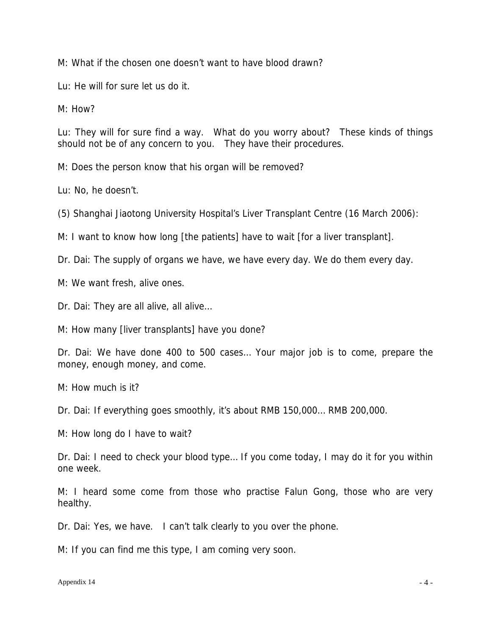M: What if the chosen one doesn't want to have blood drawn?

Lu: He will for sure let us do it.

M: How?

Lu: They will for sure find a way. What do you worry about? These kinds of things should not be of any concern to you. They have their procedures.

M: Does the person know that his organ will be removed?

Lu: No, he doesn't.

(5) Shanghai Jiaotong University Hospital's Liver Transplant Centre (16 March 2006):

M: I want to know how long [the patients] have to wait [for a liver transplant].

Dr. Dai: The supply of organs we have, we have every day. We do them every day.

M: We want fresh, alive ones.

Dr. Dai: They are all alive, all alive…

M: How many [liver transplants] have you done?

Dr. Dai: We have done 400 to 500 cases… Your major job is to come, prepare the money, enough money, and come.

M: How much is it?

Dr. Dai: If everything goes smoothly, it's about RMB 150,000… RMB 200,000.

M: How long do I have to wait?

Dr. Dai: I need to check your blood type… If you come today, I may do it for you within one week.

M: I heard some come from those who practise Falun Gong, those who are very healthy.

Dr. Dai: Yes, we have. I can't talk clearly to you over the phone.

M: If you can find me this type, I am coming very soon.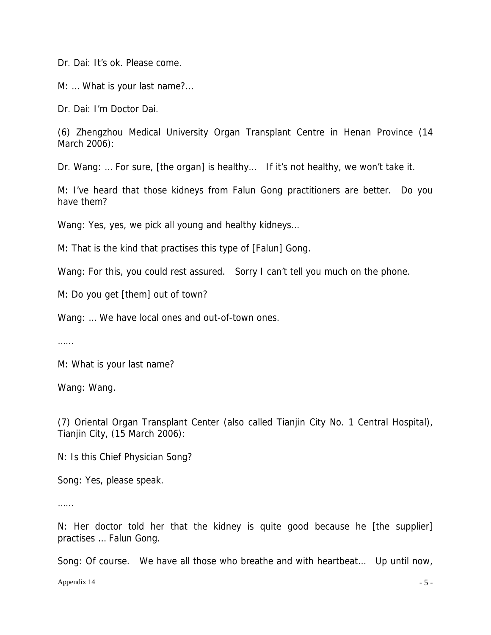Dr. Dai: It's ok. Please come.

M: ... What is your last name?...

Dr. Dai: I'm Doctor Dai.

(6) Zhengzhou Medical University Organ Transplant Centre in Henan Province (14 March 2006):

Dr. Wang: … For sure, [the organ] is healthy… If it's not healthy, we won't take it.

M: I've heard that those kidneys from Falun Gong practitioners are better. Do you have them?

Wang: Yes, yes, we pick all young and healthy kidneys...

M: That is the kind that practises this type of [Falun] Gong.

Wang: For this, you could rest assured. Sorry I can't tell you much on the phone.

M: Do you get [them] out of town?

Wang: … We have local ones and out-of-town ones.

……

M: What is your last name?

Wang: Wang.

(7) Oriental Organ Transplant Center (also called Tianjin City No. 1 Central Hospital), Tianjin City, (15 March 2006):

N: Is this Chief Physician Song?

Song: Yes, please speak.

……

N: Her doctor told her that the kidney is quite good because he [the supplier] practises … Falun Gong.

Song: Of course. We have all those who breathe and with heartbeat… Up until now,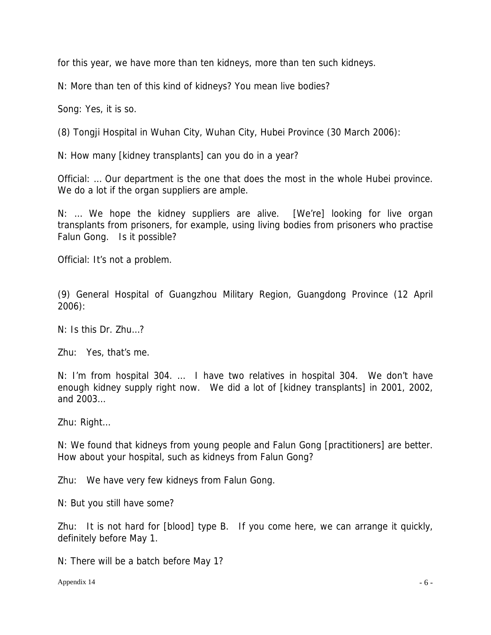for this year, we have more than ten kidneys, more than ten such kidneys.

N: More than ten of this kind of kidneys? You mean live bodies?

Song: Yes, it is so.

(8) Tongji Hospital in Wuhan City, Wuhan City, Hubei Province (30 March 2006):

N: How many [kidney transplants] can you do in a year?

Official: … Our department is the one that does the most in the whole Hubei province. We do a lot if the organ suppliers are ample.

N: … We hope the kidney suppliers are alive. [We're] looking for live organ transplants from prisoners, for example, using living bodies from prisoners who practise Falun Gong. Is it possible?

Official: It's not a problem.

(9) General Hospital of Guangzhou Military Region, Guangdong Province (12 April 2006):

N: Is this Dr. Zhu…?

Zhu: Yes, that's me.

N: I'm from hospital 304. … I have two relatives in hospital 304. We don't have enough kidney supply right now. We did a lot of [kidney transplants] in 2001, 2002, and 2003…

Zhu: Right…

N: We found that kidneys from young people and Falun Gong [practitioners] are better. How about your hospital, such as kidneys from Falun Gong?

Zhu: We have very few kidneys from Falun Gong.

N: But you still have some?

Zhu: It is not hard for [blood] type B. If you come here, we can arrange it quickly, definitely before May 1.

N: There will be a batch before May 1?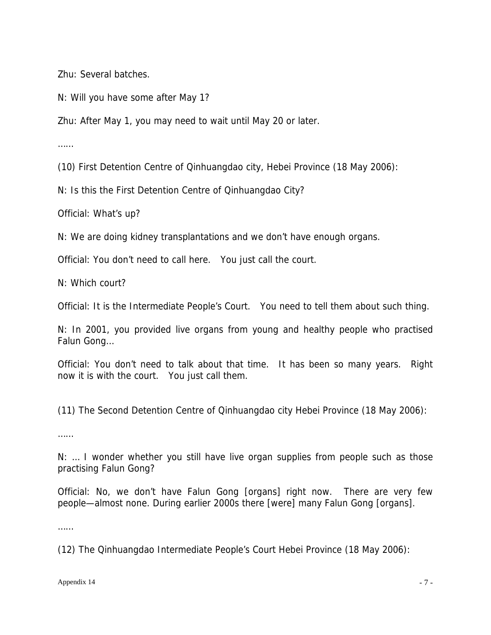Zhu: Several batches.

N: Will you have some after May 1?

Zhu: After May 1, you may need to wait until May 20 or later.

……

(10) First Detention Centre of Qinhuangdao city, Hebei Province (18 May 2006):

N: Is this the First Detention Centre of Qinhuangdao City?

Official: What's up?

N: We are doing kidney transplantations and we don't have enough organs.

Official: You don't need to call here. You just call the court.

N: Which court?

Official: It is the Intermediate People's Court. You need to tell them about such thing.

N: In 2001, you provided live organs from young and healthy people who practised Falun Gong…

Official: You don't need to talk about that time. It has been so many years. Right now it is with the court. You just call them.

(11) The Second Detention Centre of Qinhuangdao city Hebei Province (18 May 2006):

……

N: … I wonder whether you still have live organ supplies from people such as those practising Falun Gong?

Official: No, we don't have Falun Gong [organs] right now. There are very few people—almost none. During earlier 2000s there [were] many Falun Gong [organs].

……

(12) The Qinhuangdao Intermediate People's Court Hebei Province (18 May 2006):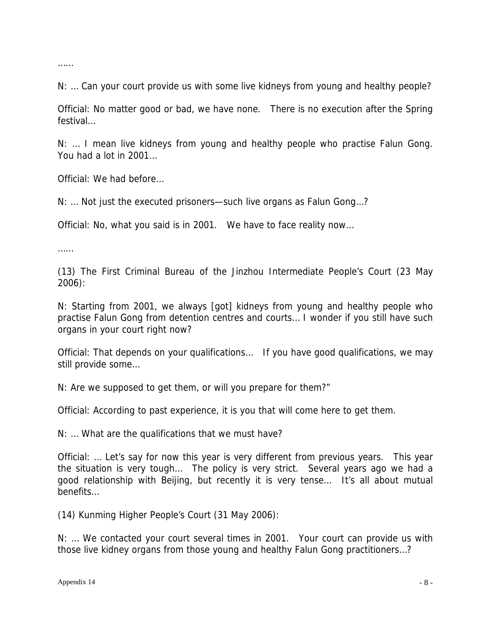……

N: … Can your court provide us with some live kidneys from young and healthy people?

Official: No matter good or bad, we have none. There is no execution after the Spring festival…

N: … I mean live kidneys from young and healthy people who practise Falun Gong. You had a lot in 2001…

Official: We had before…

N: … Not just the executed prisoners—such live organs as Falun Gong…?

Official: No, what you said is in 2001. We have to face reality now…

……

(13) The First Criminal Bureau of the Jinzhou Intermediate People's Court (23 May 2006):

N: Starting from 2001, we always [got] kidneys from young and healthy people who practise Falun Gong from detention centres and courts… I wonder if you still have such organs in your court right now?

Official: That depends on your qualifications… If you have good qualifications, we may still provide some…

N: Are we supposed to get them, or will you prepare for them?"

Official: According to past experience, it is you that will come here to get them.

N: … What are the qualifications that we must have?

Official: … Let's say for now this year is very different from previous years. This year the situation is very tough… The policy is very strict. Several years ago we had a good relationship with Beijing, but recently it is very tense… It's all about mutual benefits…

(14) Kunming Higher People's Court (31 May 2006):

N: … We contacted your court several times in 2001. Your court can provide us with those live kidney organs from those young and healthy Falun Gong practitioners…?